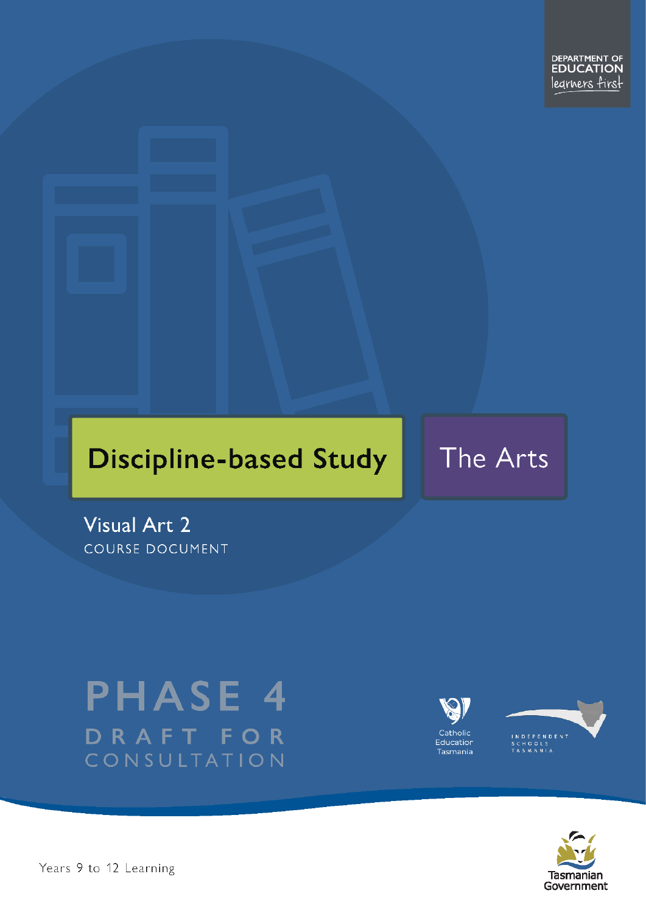# **Discipline-based Study**

# The Arts

Visual Art 2 COURSE DOCUMENT

# **PHASE 4** DRAFT FOR CONSULTATION





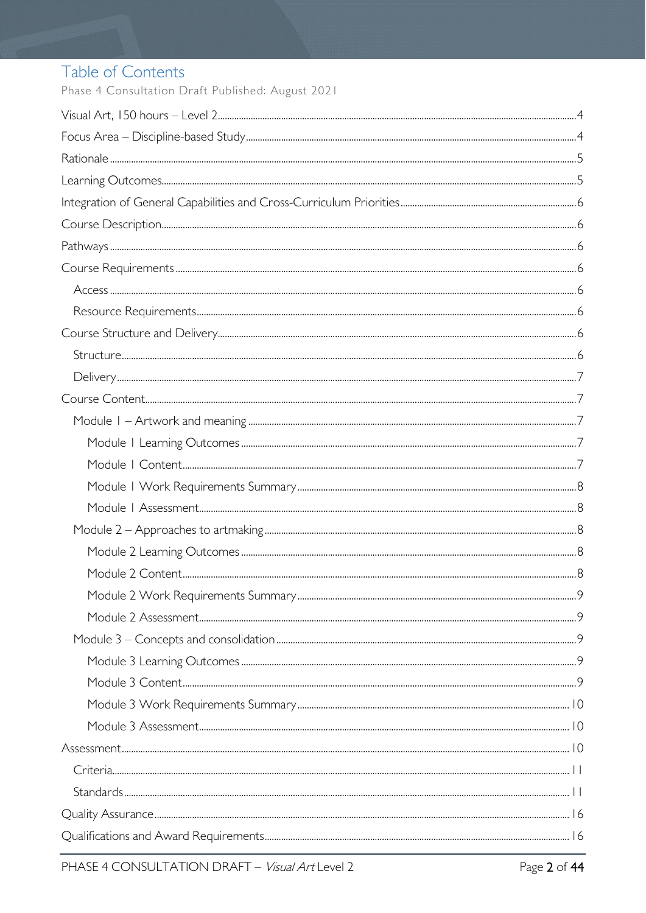# Table of Contents

Phase 4 Consultation Draft Published: August 2021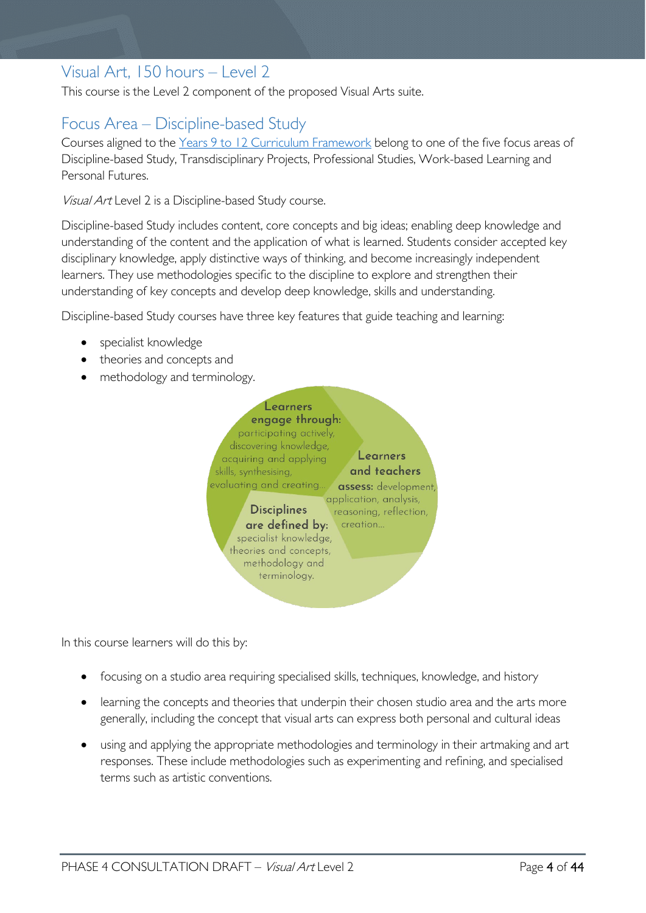# <span id="page-3-0"></span>Visual Art, 150 hours – Level 2

This course is the Level 2 component of the proposed Visual Arts suite.

# <span id="page-3-1"></span>Focus Area – Discipline-based Study

Courses aligned to the Years 9 to 12 Curriculum [Framework](https://publicdocumentcentre.education.tas.gov.au/library/Shared%20Documents/Education%209-12%20Frameworks%20A3%20WEB%20POSTER.pdf) belong to one of the five focus areas of Discipline-based Study, Transdisciplinary Projects, Professional Studies, Work-based Learning and Personal Futures.

Visual Art Level 2 is a Discipline-based Study course.

Discipline-based Study includes content, core concepts and big ideas; enabling deep knowledge and understanding of the content and the application of what is learned. Students consider accepted key disciplinary knowledge, apply distinctive ways of thinking, and become increasingly independent learners. They use methodologies specific to the discipline to explore and strengthen their understanding of key concepts and develop deep knowledge, skills and understanding.

Discipline-based Study courses have three key features that guide teaching and learning:

- specialist knowledge
- theories and concepts and
- methodology and terminology.



In this course learners will do this by:

- focusing on a studio area requiring specialised skills, techniques, knowledge, and history
- learning the concepts and theories that underpin their chosen studio area and the arts more generally, including the concept that visual arts can express both personal and cultural ideas
- using and applying the appropriate methodologies and terminology in their artmaking and art responses. These include methodologies such as experimenting and refining, and specialised terms such as artistic conventions.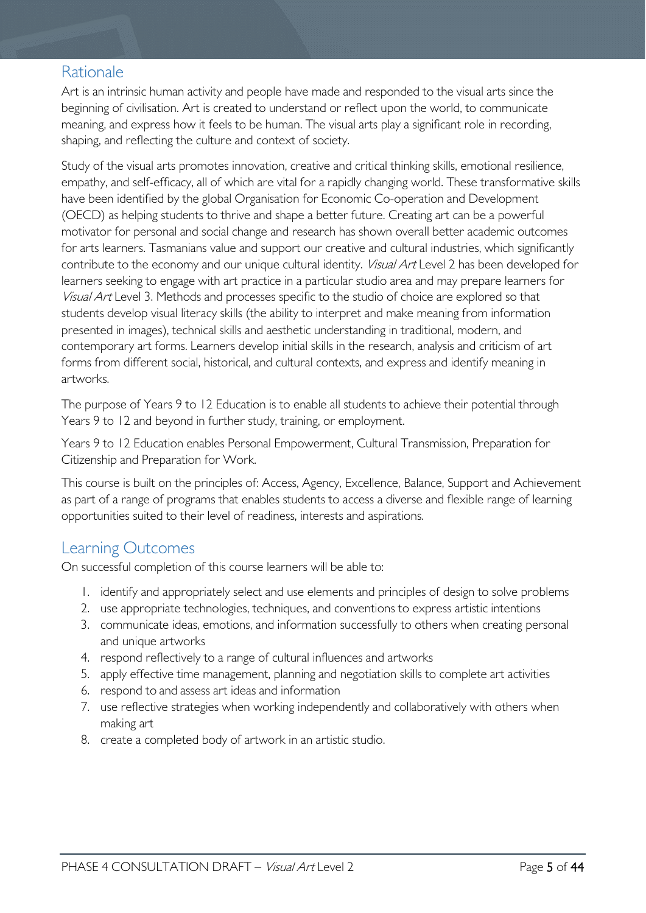# <span id="page-4-0"></span>Rationale

Art is an intrinsic human activity and people have made and responded to the visual arts since the beginning of civilisation. Art is created to understand or reflect upon the world, to communicate meaning, and express how it feels to be human. The visual arts play a significant role in recording, shaping, and reflecting the culture and context of society.

Study of the visual arts promotes innovation, creative and critical thinking skills, emotional resilience, empathy, and self-efficacy, all of which are vital for a rapidly changing world. These transformative skills have been identified by the global Organisation for Economic Co-operation and Development (OECD) as helping students to thrive and shape a better future. Creating art can be a powerful motivator for personal and social change and research has shown overall better academic outcomes for arts learners. Tasmanians value and support our creative and cultural industries, which significantly contribute to the economy and our unique cultural identity. *Visual Art* Level 2 has been developed for learners seeking to engage with art practice in a particular studio area and may prepare learners for Visual Art Level 3. Methods and processes specific to the studio of choice are explored so that students develop visual literacy skills (the ability to interpret and make meaning from information presented in images), technical skills and aesthetic understanding in traditional, modern, and contemporary art forms. Learners develop initial skills in the research, analysis and criticism of art forms from different social, historical, and cultural contexts, and express and identify meaning in artworks.

The purpose of Years 9 to 12 Education is to enable all students to achieve their potential through Years 9 to 12 and beyond in further study, training, or employment.

Years 9 to 12 Education enables Personal Empowerment, Cultural Transmission, Preparation for Citizenship and Preparation for Work.

This course is built on the principles of: Access, Agency, Excellence, Balance, Support and Achievement as part of a range of programs that enables students to access a diverse and flexible range of learning opportunities suited to their level of readiness, interests and aspirations.

## <span id="page-4-1"></span>Learning Outcomes

On successful completion of this course learners will be able to:

- 1. identify and appropriately select and use elements and principles of design to solve problems
- 2. use appropriate technologies, techniques, and conventions to express artistic intentions
- 3. communicate ideas, emotions, and information successfully to others when creating personal and unique artworks
- 4. respond reflectively to a range of cultural influences and artworks
- 5. apply effective time management, planning and negotiation skills to complete art activities
- 6. respond to and assess art ideas and information
- 7. use reflective strategies when working independently and collaboratively with others when making art
- 8. create a completed body of artwork in an artistic studio.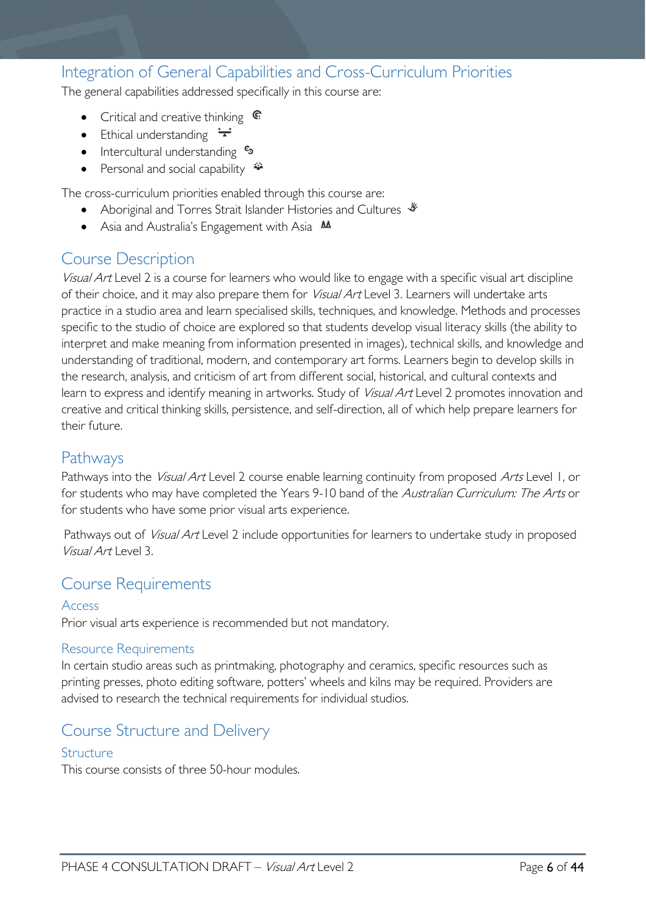# <span id="page-5-0"></span>Integration of General Capabilities and Cross-Curriculum Priorities

The general capabilities addressed specifically in this course are:

- Critical and creative thinking  $\mathbb{C}$
- Ethical understanding  $\div$
- Intercultural understanding  $\frac{c_3}{ }$
- Personal and social capability  $\triangleq$

The cross-curriculum priorities enabled through this course are:

- Aboriginal and Torres Strait Islander Histories and Cultures  $\mathcal$
- Asia and Australia's Engagement with Asia **AA**

## <span id="page-5-1"></span>Course Description

Visual Art Level 2 is a course for learners who would like to engage with a specific visual art discipline of their choice, and it may also prepare them for Visual Art Level 3. Learners will undertake arts practice in a studio area and learn specialised skills, techniques, and knowledge. Methods and processes specific to the studio of choice are explored so that students develop visual literacy skills (the ability to interpret and make meaning from information presented in images), technical skills, and knowledge and understanding of traditional, modern, and contemporary art forms. Learners begin to develop skills in the research, analysis, and criticism of art from different social, historical, and cultural contexts and learn to express and identify meaning in artworks. Study of *Visual Art* Level 2 promotes innovation and creative and critical thinking skills, persistence, and self-direction, all of which help prepare learners for their future.

## <span id="page-5-2"></span>Pathways

Pathways into the Visual Art Level 2 course enable learning continuity from proposed Arts Level 1, or for students who may have completed the Years 9-10 band of the Australian Curriculum: The Arts or for students who have some prior visual arts experience.

Pathways out of *Visual Art* Level 2 include opportunities for learners to undertake study in proposed Visual Art Level 3.

## <span id="page-5-3"></span>Course Requirements

#### <span id="page-5-4"></span>Access

Prior visual arts experience is recommended but not mandatory.

#### <span id="page-5-5"></span>Resource Requirements

In certain studio areas such as printmaking, photography and ceramics, specific resources such as printing presses, photo editing software, potters' wheels and kilns may be required. Providers are advised to research the technical requirements for individual studios.

## <span id="page-5-6"></span>Course Structure and Delivery

#### <span id="page-5-7"></span>Structure

This course consists of three 50-hour modules.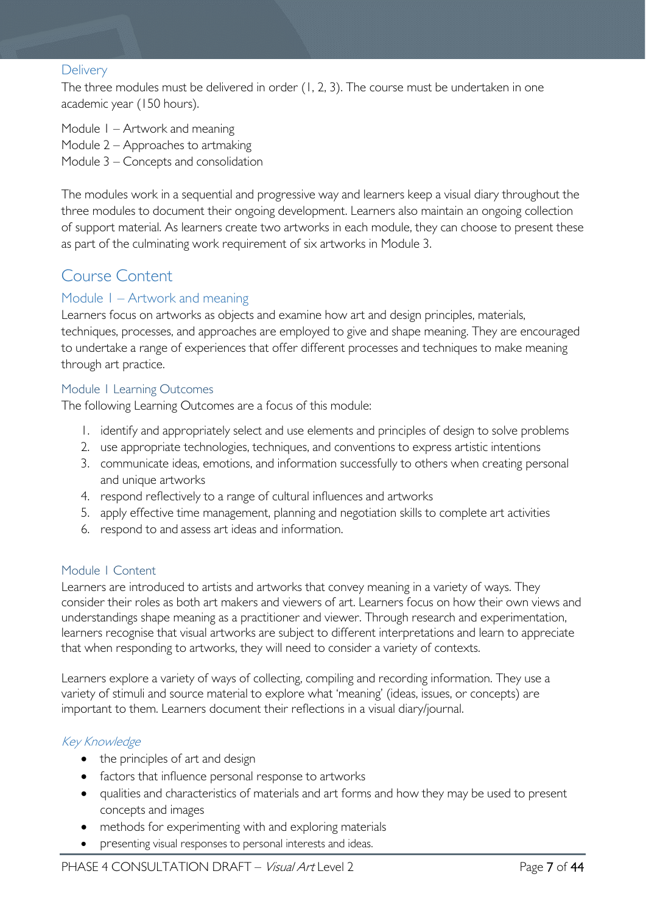#### <span id="page-6-0"></span>**Delivery**

The three modules must be delivered in order (1, 2, 3). The course must be undertaken in one academic year (150 hours).

Module 1 – Artwork and meaning Module 2 – Approaches to artmaking Module 3 – Concepts and consolidation

The modules work in a sequential and progressive way and learners keep a visual diary throughout the three modules to document their ongoing development. Learners also maintain an ongoing collection of support material. As learners create two artworks in each module, they can choose to present these as part of the culminating work requirement of six artworks in Module 3.

# <span id="page-6-1"></span>Course Content

#### <span id="page-6-2"></span>Module 1 – Artwork and meaning

Learners focus on artworks as objects and examine how art and design principles, materials, techniques, processes, and approaches are employed to give and shape meaning. They are encouraged to undertake a range of experiences that offer different processes and techniques to make meaning through art practice.

#### <span id="page-6-3"></span>Module 1 Learning Outcomes

The following Learning Outcomes are a focus of this module:

- 1. identify and appropriately select and use elements and principles of design to solve problems
- 2. use appropriate technologies, techniques, and conventions to express artistic intentions
- 3. communicate ideas, emotions, and information successfully to others when creating personal and unique artworks
- 4. respond reflectively to a range of cultural influences and artworks
- 5. apply effective time management, planning and negotiation skills to complete art activities
- 6. respond to and assess art ideas and information.

#### <span id="page-6-4"></span>Module 1 Content

Learners are introduced to artists and artworks that convey meaning in a variety of ways. They consider their roles as both art makers and viewers of art. Learners focus on how their own views and understandings shape meaning as a practitioner and viewer. Through research and experimentation, learners recognise that visual artworks are subject to different interpretations and learn to appreciate that when responding to artworks, they will need to consider a variety of contexts.

Learners explore a variety of ways of collecting, compiling and recording information. They use a variety of stimuli and source material to explore what 'meaning' (ideas, issues, or concepts) are important to them. Learners document their reflections in a visual diary/journal.

#### Key Knowledge

- the principles of art and design
- factors that influence personal response to artworks
- qualities and characteristics of materials and art forms and how they may be used to present concepts and images
- methods for experimenting with and exploring materials
- presenting visual responses to personal interests and ideas.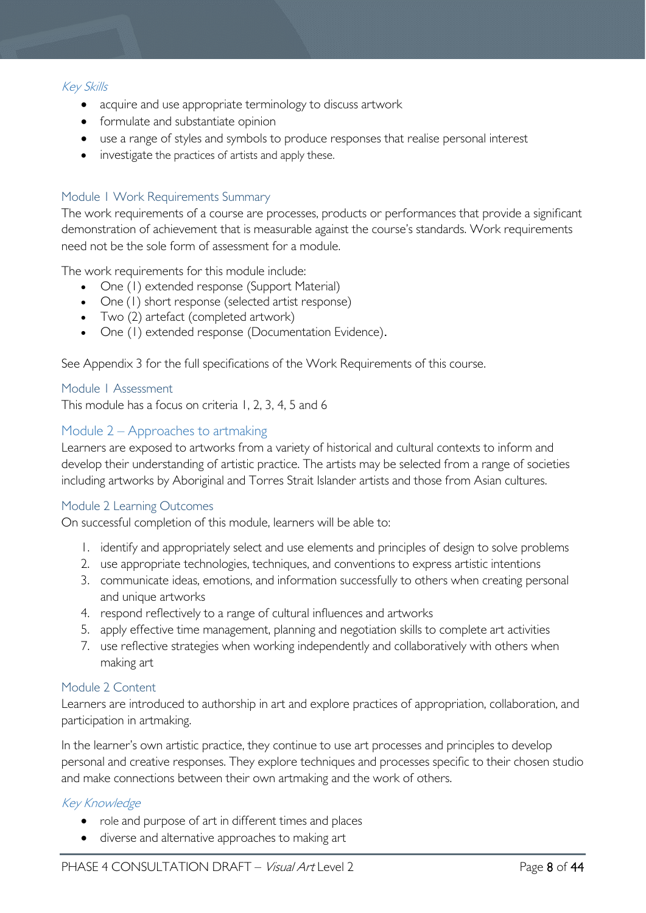#### Key Skills

- acquire and use appropriate terminology to discuss artwork
- formulate and substantiate opinion
- use a range of styles and symbols to produce responses that realise personal interest
- investigate the practices of artists and apply these.

#### <span id="page-7-0"></span>Module 1 Work Requirements Summary

The work requirements of a course are processes, products or performances that provide a significant demonstration of achievement that is measurable against the course's standards. Work requirements need not be the sole form of assessment for a module.

The work requirements for this module include:

- One (1) extended response (Support Material)
- One (1) short response (selected artist response)
- Two (2) artefact (completed artwork)
- One (1) extended response (Documentation Evidence).

See Appendix 3 for the full specifications of the Work Requirements of this course.

#### <span id="page-7-1"></span>Module 1 Assessment

This module has a focus on criteria 1, 2, 3, 4, 5 and 6

#### <span id="page-7-2"></span>Module 2 – Approaches to artmaking

Learners are exposed to artworks from a variety of historical and cultural contexts to inform and develop their understanding of artistic practice. The artists may be selected from a range of societies including artworks by Aboriginal and Torres Strait Islander artists and those from Asian cultures.

#### <span id="page-7-3"></span>Module 2 Learning Outcomes

On successful completion of this module, learners will be able to:

- 1. identify and appropriately select and use elements and principles of design to solve problems
- 2. use appropriate technologies, techniques, and conventions to express artistic intentions
- 3. communicate ideas, emotions, and information successfully to others when creating personal and unique artworks
- 4. respond reflectively to a range of cultural influences and artworks
- 5. apply effective time management, planning and negotiation skills to complete art activities
- 7. use reflective strategies when working independently and collaboratively with others when making art

#### <span id="page-7-4"></span>Module 2 Content

Learners are introduced to authorship in art and explore practices of appropriation, collaboration, and participation in artmaking.

In the learner's own artistic practice, they continue to use art processes and principles to develop personal and creative responses. They explore techniques and processes specific to their chosen studio and make connections between their own artmaking and the work of others.

#### Key Knowledge

- role and purpose of art in different times and places
- diverse and alternative approaches to making art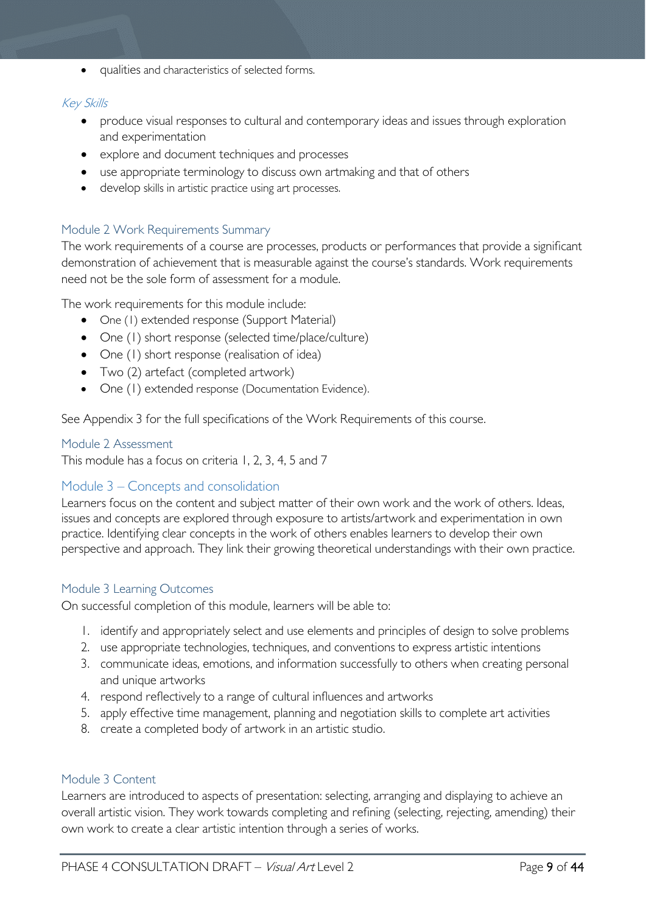• qualities and characteristics of selected forms.

#### Key Skills

- produce visual responses to cultural and contemporary ideas and issues through exploration and experimentation
- explore and document techniques and processes
- use appropriate terminology to discuss own artmaking and that of others
- develop skills in artistic practice using art processes.

#### <span id="page-8-0"></span>Module 2 Work Requirements Summary

The work requirements of a course are processes, products or performances that provide a significant demonstration of achievement that is measurable against the course's standards. Work requirements need not be the sole form of assessment for a module.

The work requirements for this module include:

- One (1) extended response (Support Material)
- One (1) short response (selected time/place/culture)
- One (1) short response (realisation of idea)
- Two (2) artefact (completed artwork)
- One (1) extended response (Documentation Evidence).

See Appendix 3 for the full specifications of the Work Requirements of this course.

#### <span id="page-8-1"></span>Module 2 Assessment

This module has a focus on criteria 1, 2, 3, 4, 5 and 7

#### <span id="page-8-2"></span>Module 3 – Concepts and consolidation

Learners focus on the content and subject matter of their own work and the work of others. Ideas, issues and concepts are explored through exposure to artists/artwork and experimentation in own practice. Identifying clear concepts in the work of others enables learners to develop their own perspective and approach. They link their growing theoretical understandings with their own practice.

#### <span id="page-8-3"></span>Module 3 Learning Outcomes

On successful completion of this module, learners will be able to:

- 1. identify and appropriately select and use elements and principles of design to solve problems
- 2. use appropriate technologies, techniques, and conventions to express artistic intentions
- 3. communicate ideas, emotions, and information successfully to others when creating personal and unique artworks
- 4. respond reflectively to a range of cultural influences and artworks
- 5. apply effective time management, planning and negotiation skills to complete art activities
- 8. create a completed body of artwork in an artistic studio.

#### <span id="page-8-4"></span>Module 3 Content

Learners are introduced to aspects of presentation: selecting, arranging and displaying to achieve an overall artistic vision. They work towards completing and refining (selecting, rejecting, amending) their own work to create a clear artistic intention through a series of works.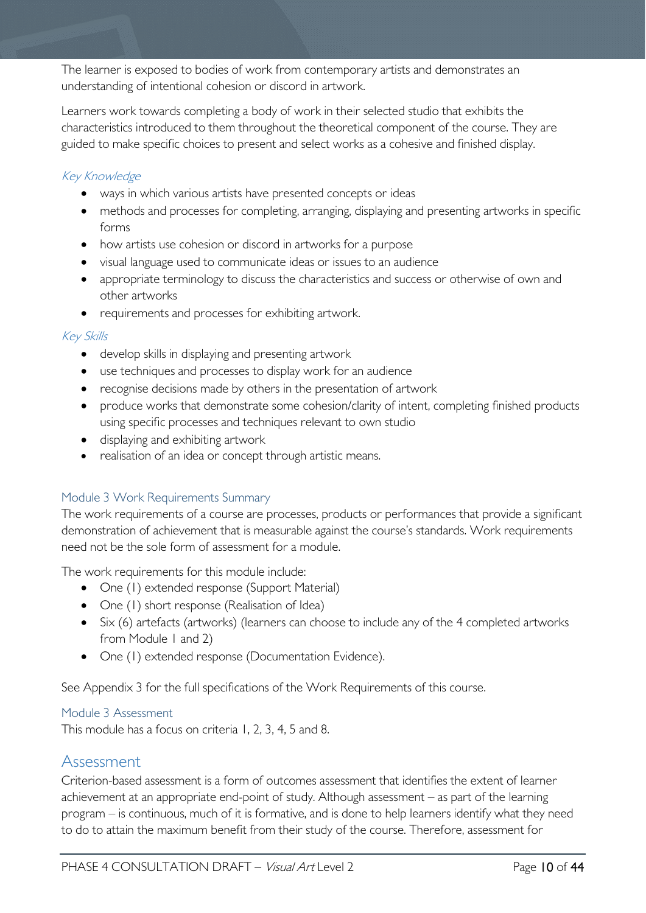The learner is exposed to bodies of work from contemporary artists and demonstrates an understanding of intentional cohesion or discord in artwork.

Learners work towards completing a body of work in their selected studio that exhibits the characteristics introduced to them throughout the theoretical component of the course. They are guided to make specific choices to present and select works as a cohesive and finished display.

#### Key Knowledge

- ways in which various artists have presented concepts or ideas
- methods and processes for completing, arranging, displaying and presenting artworks in specific forms
- how artists use cohesion or discord in artworks for a purpose
- visual language used to communicate ideas or issues to an audience
- appropriate terminology to discuss the characteristics and success or otherwise of own and other artworks
- requirements and processes for exhibiting artwork.

#### Key Skills

- develop skills in displaying and presenting artwork
- use techniques and processes to display work for an audience
- recognise decisions made by others in the presentation of artwork
- produce works that demonstrate some cohesion/clarity of intent, completing finished products using specific processes and techniques relevant to own studio
- displaying and exhibiting artwork
- realisation of an idea or concept through artistic means.

#### <span id="page-9-0"></span>Module 3 Work Requirements Summary

The work requirements of a course are processes, products or performances that provide a significant demonstration of achievement that is measurable against the course's standards. Work requirements need not be the sole form of assessment for a module.

The work requirements for this module include:

- One (1) extended response (Support Material)
- One (1) short response (Realisation of Idea)
- Six (6) artefacts (artworks) (learners can choose to include any of the 4 completed artworks from Module 1 and 2)
- One (1) extended response (Documentation Evidence).

See Appendix 3 for the full specifications of the Work Requirements of this course.

#### <span id="page-9-1"></span>Module 3 Assessment

This module has a focus on criteria 1, 2, 3, 4, 5 and 8.

### <span id="page-9-2"></span>Assessment

Criterion-based assessment is a form of outcomes assessment that identifies the extent of learner achievement at an appropriate end-point of study. Although assessment – as part of the learning program – is continuous, much of it is formative, and is done to help learners identify what they need to do to attain the maximum benefit from their study of the course. Therefore, assessment for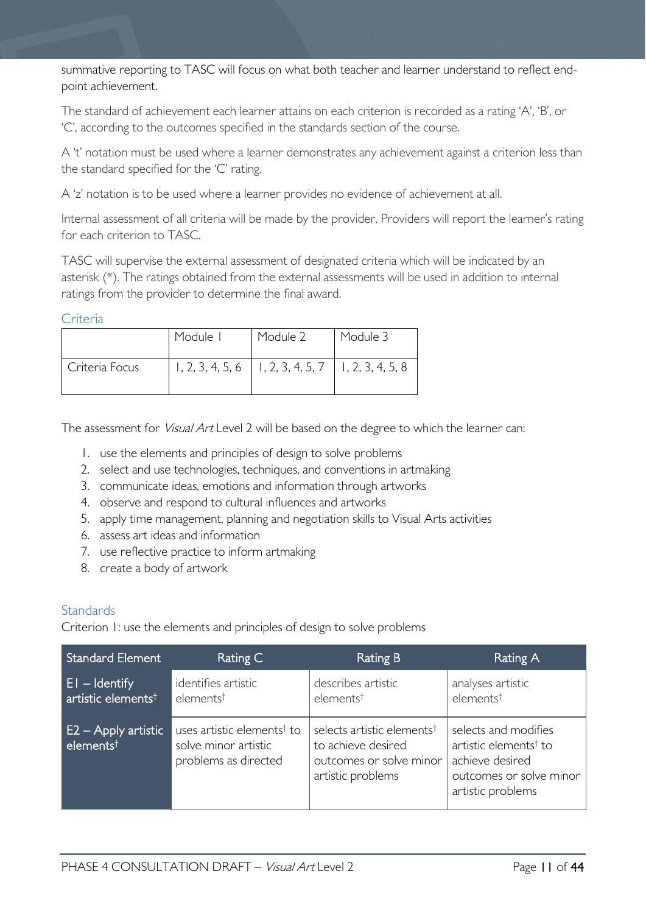summative reporting to TASC will focus on what both teacher and learner understand to reflect endpoint achievement.

The standard of achievement each learner attains on each criterion is recorded as a rating 'A', 'B', or 'C', according to the outcomes specified in the standards section of the course.

A 't' notation must be used where a learner demonstrates any achievement against a criterion less than the standard specified for the 'C' rating.

A 'z' notation is to be used where a learner provides no evidence of achievement at all.

Internal assessment of all criteria will be made by the provider. Providers will report the learner's rating for each criterion to TASC.

TASC will supervise the external assessment of designated criteria which will be indicated by an asterisk (\*). The ratings obtained from the external assessments will be used in addition to internal ratings from the provider to determine the final award.

#### <span id="page-10-0"></span>Criteria

|                | Module I | Module 2                                                 | Module 3 |
|----------------|----------|----------------------------------------------------------|----------|
| Criteria Focus |          | $1, 2, 3, 4, 5, 6$   1, 2, 3, 4, 5, 7   1, 2, 3, 4, 5, 8 |          |

The assessment for *Visual Art* Level 2 will be based on the degree to which the learner can:

- 1. use the elements and principles of design to solve problems
- 2. select and use technologies, techniques, and conventions in artmaking
- 3. communicate ideas, emotions and information through artworks
- 4. observe and respond to cultural influences and artworks
- 5. apply time management, planning and negotiation skills to Visual Arts activities
- 6. assess art ideas and information
- 7. use reflective practice to inform artmaking
- 8. create a body of artwork

#### <span id="page-10-1"></span>**Standards**

Criterion 1: use the elements and principles of design to solve problems

| <b>Standard Element</b>                           | Rating C                                                                               | <b>Rating B</b>                                                                                              | Rating A                                                                                                                     |
|---------------------------------------------------|----------------------------------------------------------------------------------------|--------------------------------------------------------------------------------------------------------------|------------------------------------------------------------------------------------------------------------------------------|
| $E1 -$ Identify<br>artistic elements <sup>†</sup> | identifies artistic<br>elements <sup>†</sup>                                           | describes artistic<br>elements <sup>†</sup>                                                                  | analyses artistic<br>elements <sup>†</sup>                                                                                   |
| E2 – Apply artistic<br>elements <sup>t</sup>      | uses artistic elements <sup>†</sup> to<br>solve minor artistic<br>problems as directed | selects artistic elements <sup>†</sup><br>to achieve desired<br>outcomes or solve minor<br>artistic problems | selects and modifies<br>artistic elements <sup>†</sup> to<br>achieve desired<br>outcomes or solve minor<br>artistic problems |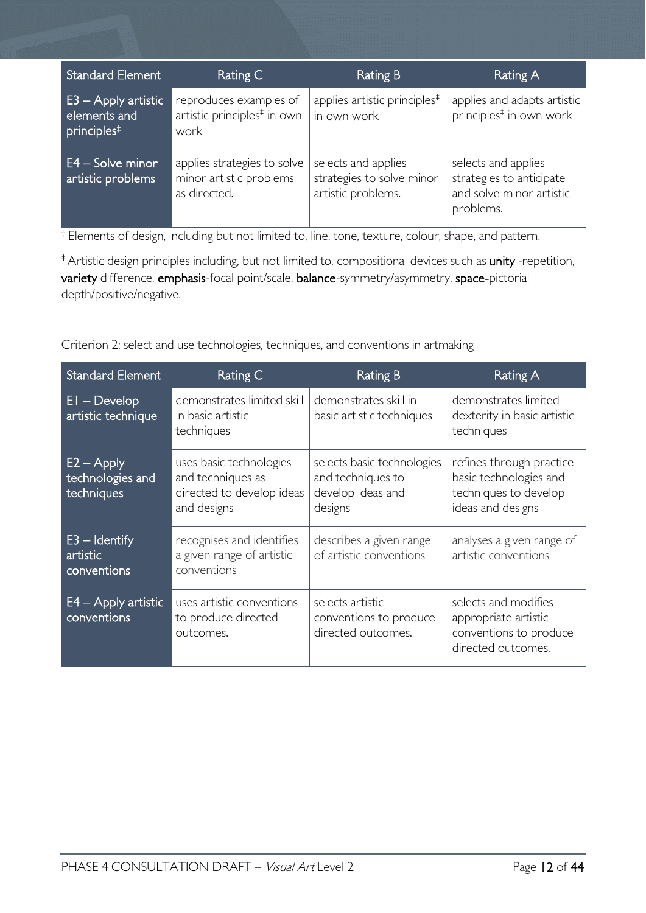| <b>Standard Element</b>                                          | Rating C                                                                  | <b>Rating B</b>                                                        | <b>Rating A</b>                                                                          |
|------------------------------------------------------------------|---------------------------------------------------------------------------|------------------------------------------------------------------------|------------------------------------------------------------------------------------------|
| $E3 - Apply$ artistic<br>elements and<br>principles <sup>#</sup> | reproduces examples of<br>artistic principles <sup>#</sup> in own<br>work | applies artistic principles <sup>#</sup><br>in own work                | applies and adapts artistic<br>principles <sup>#</sup> in own work                       |
| E4 – Solve minor<br>artistic problems                            | applies strategies to solve<br>minor artistic problems<br>as directed.    | selects and applies<br>strategies to solve minor<br>artistic problems. | selects and applies<br>strategies to anticipate<br>and solve minor artistic<br>problems. |

† Elements of design, including but not limited to, line, tone, texture, colour, shape, and pattern.

‡Artistic design principles including, but not limited to, compositional devices such as unity -repetition, variety difference, emphasis-focal point/scale, balance-symmetry/asymmetry, space-pictorial depth/positive/negative.

Criterion 2: select and use technologies, techniques, and conventions in artmaking

| <b>Standard Element</b>                        | Rating C                                                                                 | <b>Rating B</b>                                                                 | Rating A                                                                                         |
|------------------------------------------------|------------------------------------------------------------------------------------------|---------------------------------------------------------------------------------|--------------------------------------------------------------------------------------------------|
| $EI - Develop$<br>artistic technique           | demonstrates limited skill<br>in basic artistic<br>techniques                            | demonstrates skill in<br>basic artistic techniques                              | demonstrates limited<br>dexterity in basic artistic<br>techniques                                |
| $E2 - Apply$<br>technologies and<br>techniques | uses basic technologies<br>and techniques as<br>directed to develop ideas<br>and designs | selects basic technologies<br>and techniques to<br>develop ideas and<br>designs | refines through practice<br>basic technologies and<br>techniques to develop<br>ideas and designs |
| $E3 -$ Identify<br>artistic<br>conventions     | recognises and identifies<br>a given range of artistic<br>conventions                    | describes a given range<br>of artistic conventions                              | analyses a given range of<br>artistic conventions                                                |
| $E4 - Apply$ artistic<br>conventions           | uses artistic conventions<br>to produce directed<br>outcomes.                            | selects artistic<br>conventions to produce<br>directed outcomes.                | selects and modifies<br>appropriate artistic<br>conventions to produce<br>directed outcomes.     |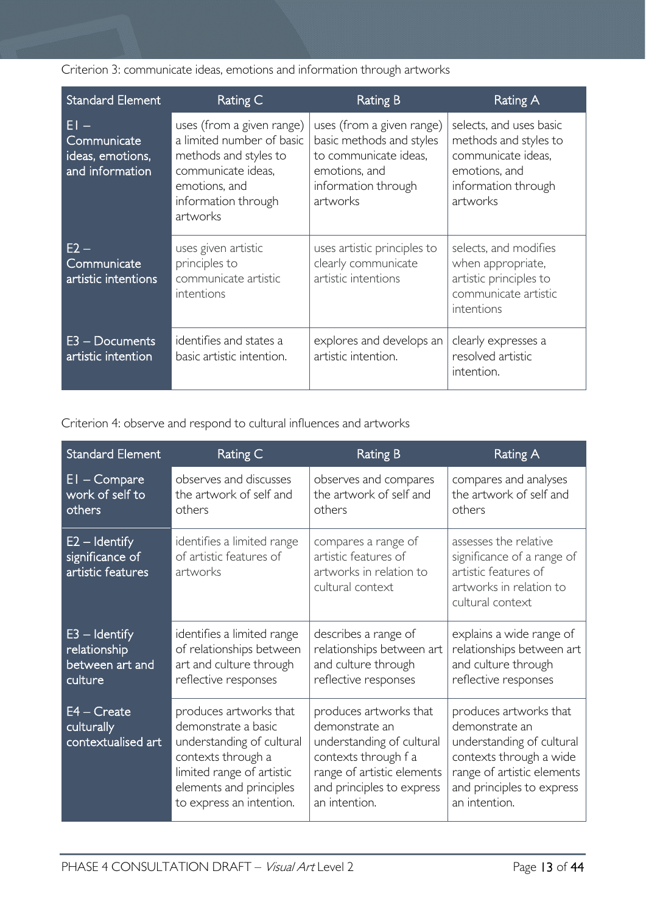Criterion 3: communicate ideas, emotions and information through artworks

| <b>Standard Element</b>                                      | Rating C                                                                                                                                                  | <b>Rating B</b>                                                                                                                    | Rating A                                                                                                                   |
|--------------------------------------------------------------|-----------------------------------------------------------------------------------------------------------------------------------------------------------|------------------------------------------------------------------------------------------------------------------------------------|----------------------------------------------------------------------------------------------------------------------------|
| $EI -$<br>Communicate<br>ideas, emotions,<br>and information | uses (from a given range)<br>a limited number of basic<br>methods and styles to<br>communicate ideas,<br>emotions, and<br>information through<br>artworks | uses (from a given range)<br>basic methods and styles<br>to communicate ideas.<br>emotions, and<br>information through<br>artworks | selects, and uses basic<br>methods and styles to<br>communicate ideas,<br>emotions, and<br>information through<br>artworks |
| $E2 -$<br>Communicate<br>artistic intentions                 | uses given artistic<br>principles to<br>communicate artistic<br>intentions                                                                                | uses artistic principles to<br>clearly communicate<br>artistic intentions                                                          | selects, and modifies<br>when appropriate,<br>artistic principles to<br>communicate artistic<br>intentions                 |
| $E3 - Doc$ uments<br>artistic intention                      | identifies and states a<br>basic artistic intention.                                                                                                      | explores and develops an<br>artistic intention.                                                                                    | clearly expresses a<br>resolved artistic<br>intention.                                                                     |

Criterion 4: observe and respond to cultural influences and artworks

| <b>Standard Element</b>                                       | Rating C                                                                                                                                                                             | <b>Rating B</b>                                                                                                                                                           | Rating A                                                                                                                                                                     |
|---------------------------------------------------------------|--------------------------------------------------------------------------------------------------------------------------------------------------------------------------------------|---------------------------------------------------------------------------------------------------------------------------------------------------------------------------|------------------------------------------------------------------------------------------------------------------------------------------------------------------------------|
| $EI$ – Compare<br>work of self to<br>others                   | observes and discusses<br>the artwork of self and<br>others                                                                                                                          | observes and compares<br>the artwork of self and<br>others                                                                                                                | compares and analyses<br>the artwork of self and<br>others                                                                                                                   |
| $E2 -$ Identify<br>significance of<br>artistic features       | identifies a limited range<br>of artistic features of<br>artworks                                                                                                                    | compares a range of<br>artistic features of<br>artworks in relation to<br>cultural context                                                                                | assesses the relative<br>significance of a range of<br>artistic features of<br>artworks in relation to<br>cultural context                                                   |
| $E3 -$ Identify<br>relationship<br>between art and<br>culture | identifies a limited range<br>of relationships between<br>art and culture through<br>reflective responses                                                                            | describes a range of<br>relationships between art<br>and culture through<br>reflective responses                                                                          | explains a wide range of<br>relationships between art<br>and culture through<br>reflective responses                                                                         |
| $E4 - Create$<br>culturally<br>contextualised art             | produces artworks that<br>demonstrate a basic<br>understanding of cultural<br>contexts through a<br>limited range of artistic<br>elements and principles<br>to express an intention. | produces artworks that<br>demonstrate an<br>understanding of cultural<br>contexts through f a<br>range of artistic elements<br>and principles to express<br>an intention. | produces artworks that<br>demonstrate an<br>understanding of cultural<br>contexts through a wide<br>range of artistic elements<br>and principles to express<br>an intention. |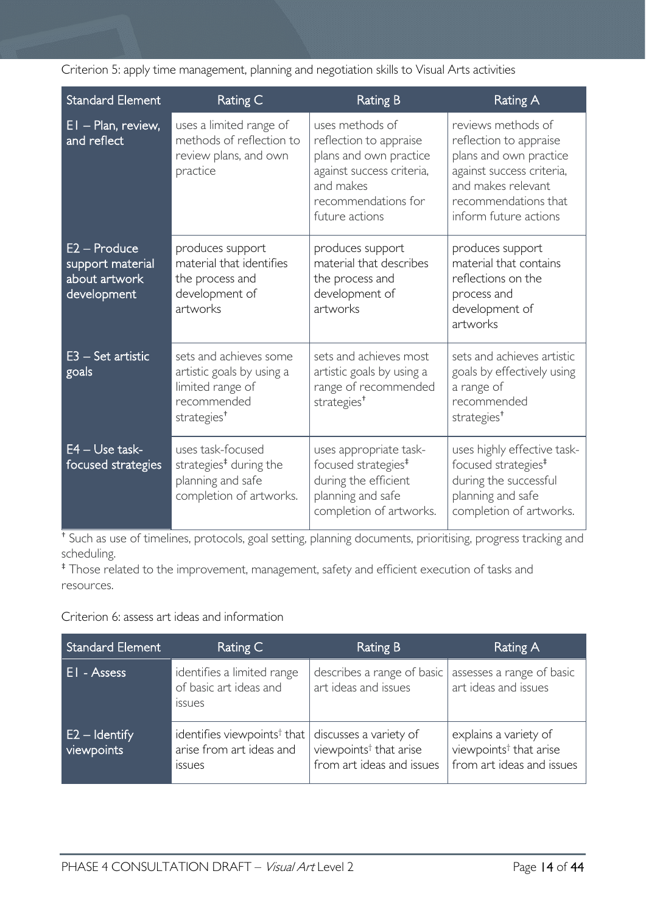|  |  | Criterion 5: apply time management, planning and negotiation skills to Visual Arts activities |  |  |  |  |
|--|--|-----------------------------------------------------------------------------------------------|--|--|--|--|
|  |  |                                                                                               |  |  |  |  |

| <b>Standard Element</b>                                                                                                                         | Rating C                                                                                                                                                                                                                                           | <b>Rating B</b>                                                                                                                   | <b>Rating A</b>                                                                                                                                                            |  |
|-------------------------------------------------------------------------------------------------------------------------------------------------|----------------------------------------------------------------------------------------------------------------------------------------------------------------------------------------------------------------------------------------------------|-----------------------------------------------------------------------------------------------------------------------------------|----------------------------------------------------------------------------------------------------------------------------------------------------------------------------|--|
| $EI$ – Plan, review,<br>and reflect                                                                                                             | uses methods of<br>uses a limited range of<br>methods of reflection to<br>reflection to appraise<br>review plans, and own<br>plans and own practice<br>against success criteria,<br>practice<br>and makes<br>recommendations for<br>future actions |                                                                                                                                   | reviews methods of<br>reflection to appraise<br>plans and own practice<br>against success criteria,<br>and makes relevant<br>recommendations that<br>inform future actions |  |
| E2 - Produce<br>support material<br>about artwork<br>development                                                                                | produces support<br>material that identifies<br>the process and<br>development of<br>artworks                                                                                                                                                      | produces support<br>material that describes<br>the process and<br>development of<br>artworks                                      | produces support<br>material that contains<br>reflections on the<br>process and<br>development of<br>artworks                                                              |  |
| E3 - Set artistic<br>sets and achieves some<br>artistic goals by using a<br>goals<br>limited range of<br>recommended<br>strategies <sup>+</sup> |                                                                                                                                                                                                                                                    | sets and achieves most<br>artistic goals by using a<br>range of recommended<br>strategies <sup>+</sup>                            | sets and achieves artistic<br>goals by effectively using<br>a range of<br>recommended<br>strategies <sup>+</sup>                                                           |  |
| $E4 - Use task-$<br>focused strategies                                                                                                          | uses task-focused<br>strategies <sup>#</sup> during the<br>planning and safe<br>completion of artworks.                                                                                                                                            | uses appropriate task-<br>focused strategies <sup>#</sup><br>during the efficient<br>planning and safe<br>completion of artworks. | uses highly effective task-<br>focused strategies <sup>#</sup><br>during the successful<br>planning and safe<br>completion of artworks.                                    |  |

† Such as use of timelines, protocols, goal setting, planning documents, prioritising, progress tracking and scheduling.

‡ Those related to the improvement, management, safety and efficient execution of tasks and resources.

Criterion 6: assess art ideas and information

| Standard Element              | Rating C                                                                             | Rating B                                                                                  | Rating A                                                                                 |
|-------------------------------|--------------------------------------------------------------------------------------|-------------------------------------------------------------------------------------------|------------------------------------------------------------------------------------------|
| <b>EI</b> - Assess            | identifies a limited range<br>of basic art ideas and<br><b>ISSUES</b>                | describes a range of basic<br>art ideas and issues                                        | assesses a range of basic<br>art ideas and issues                                        |
| $E2 -$ Identify<br>viewpoints | identifies viewpoints <sup>†</sup> that<br>arise from art ideas and<br><b>ISSUES</b> | discusses a variety of<br>viewpoints <sup>†</sup> that arise<br>from art ideas and issues | explains a variety of<br>viewpoints <sup>†</sup> that arise<br>from art ideas and issues |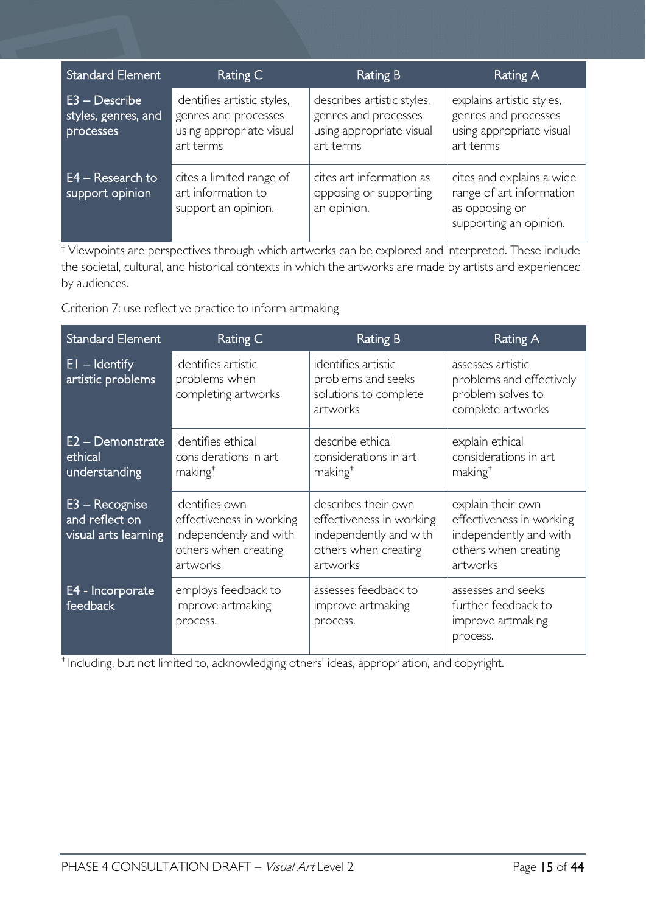| <b>Standard Element</b>                           | Rating C                                                                                     | Rating B                                                                                    | Rating A                                                                                          |
|---------------------------------------------------|----------------------------------------------------------------------------------------------|---------------------------------------------------------------------------------------------|---------------------------------------------------------------------------------------------------|
| E3 - Describe<br>styles, genres, and<br>processes | identifies artistic styles,<br>genres and processes<br>using appropriate visual<br>art terms | describes artistic styles,<br>genres and processes<br>using appropriate visual<br>art terms | explains artistic styles,<br>genres and processes<br>using appropriate visual<br>art terms        |
| $E4 - Research to$<br>support opinion             | cites a limited range of<br>art information to<br>support an opinion.                        | cites art information as<br>opposing or supporting<br>an opinion.                           | cites and explains a wide<br>range of art information<br>as opposing or<br>supporting an opinion. |

† Viewpoints are perspectives through which artworks can be explored and interpreted. These include the societal, cultural, and historical contexts in which the artworks are made by artists and experienced by audiences.

Criterion 7: use reflective practice to inform artmaking

| <b>Standard Element</b>                                    | Rating C                                                                                                 | <b>Rating B</b>                                                                                               | Rating A                                                                                                    |
|------------------------------------------------------------|----------------------------------------------------------------------------------------------------------|---------------------------------------------------------------------------------------------------------------|-------------------------------------------------------------------------------------------------------------|
| $EI - Identity$<br>artistic problems                       | identifies artistic<br>problems when<br>completing artworks                                              | identifies artistic<br>problems and seeks<br>solutions to complete<br>artworks                                | assesses artistic<br>problems and effectively<br>problem solves to<br>complete artworks                     |
| $E2 -$ Demonstrate<br>ethical<br>understanding             | identifies ethical<br>considerations in art<br>making <sup>+</sup>                                       | describe ethical<br>considerations in art<br>making <sup>+</sup>                                              | explain ethical<br>considerations in art<br>making <sup>+</sup>                                             |
| $E3 - Recognise$<br>and reflect on<br>visual arts learning | identifies own<br>effectiveness in working<br>independently and with<br>others when creating<br>artworks | describes their own<br>effectiveness in working<br>independently and with<br>others when creating<br>artworks | explain their own<br>effectiveness in working<br>independently and with<br>others when creating<br>artworks |
| E4 - Incorporate<br>feedback                               | employs feedback to<br>improve artmaking<br>process.                                                     | assesses feedback to<br>improve artmaking<br>process.                                                         | assesses and seeks<br>further feedback to<br>improve artmaking<br>process.                                  |

† Including, but not limited to, acknowledging others' ideas, appropriation, and copyright.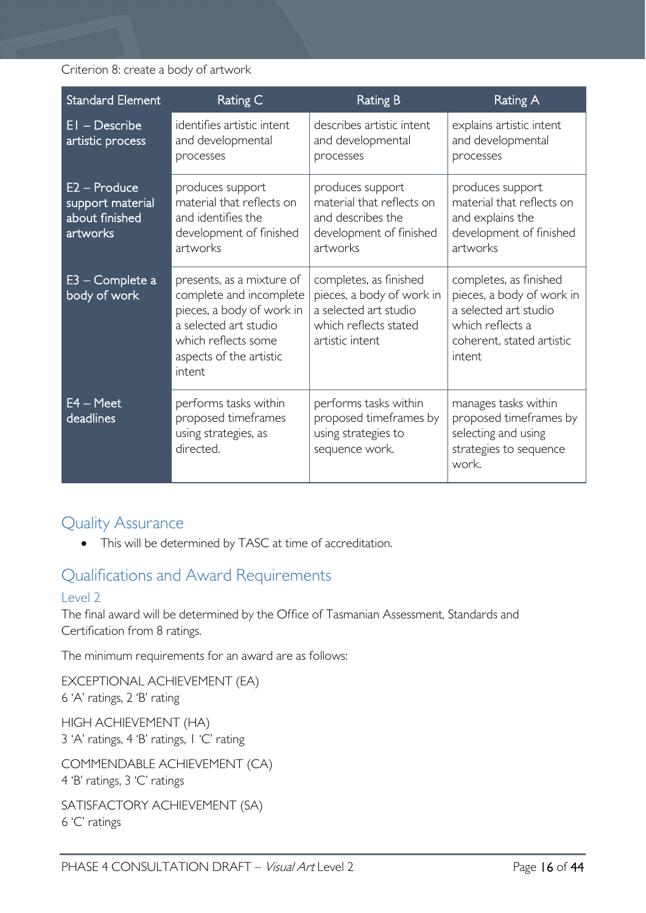Criterion 8: create a body of artwork

| <b>Standard Element</b>                                          | Rating C                                                                                                                                                               | <b>Rating B</b>                                                                                                          | Rating A                                                                                                                                |
|------------------------------------------------------------------|------------------------------------------------------------------------------------------------------------------------------------------------------------------------|--------------------------------------------------------------------------------------------------------------------------|-----------------------------------------------------------------------------------------------------------------------------------------|
| $EI - Describe$<br>artistic process                              | identifies artistic intent<br>and developmental<br>processes                                                                                                           | describes artistic intent<br>and developmental<br>processes                                                              | explains artistic intent<br>and developmental<br>processes                                                                              |
| $E2 -$ Produce<br>support material<br>about finished<br>artworks | produces support<br>material that reflects on<br>and identifies the<br>development of finished<br>artworks                                                             | produces support<br>material that reflects on<br>and describes the<br>development of finished<br>artworks                | produces support<br>material that reflects on<br>and explains the<br>development of finished<br>artworks                                |
| E3 - Complete a<br>body of work                                  | presents, as a mixture of<br>complete and incomplete<br>pieces, a body of work in<br>a selected art studio<br>which reflects some<br>aspects of the artistic<br>intent | completes, as finished<br>pieces, a body of work in<br>a selected art studio<br>which reflects stated<br>artistic intent | completes, as finished<br>pieces, a body of work in<br>a selected art studio<br>which reflects a<br>coherent, stated artistic<br>intent |
| $E4 - Meet$<br>deadlines                                         | performs tasks within<br>proposed timeframes<br>using strategies, as<br>directed.                                                                                      | performs tasks within<br>proposed timeframes by<br>using strategies to<br>sequence work.                                 | manages tasks within<br>proposed timeframes by<br>selecting and using<br>strategies to sequence<br>work.                                |

# <span id="page-15-0"></span>Quality Assurance

• This will be determined by TASC at time of accreditation.

# <span id="page-15-1"></span>Qualifications and Award Requirements

### <span id="page-15-2"></span>Level 2

The final award will be determined by the Office of Tasmanian Assessment, Standards and Certification from 8 ratings.

The minimum requirements for an award are as follows:

EXCEPTIONAL ACHIEVEMENT (EA) 6 'A' ratings, 2 'B' rating

HIGH ACHIEVEMENT (HA) 3 'A' ratings, 4 'B' ratings, 1 'C' rating

COMMENDABLE ACHIEVEMENT (CA) 4 'B' ratings, 3 'C' ratings

SATISFACTORY ACHIEVEMENT (SA) 6 'C' ratings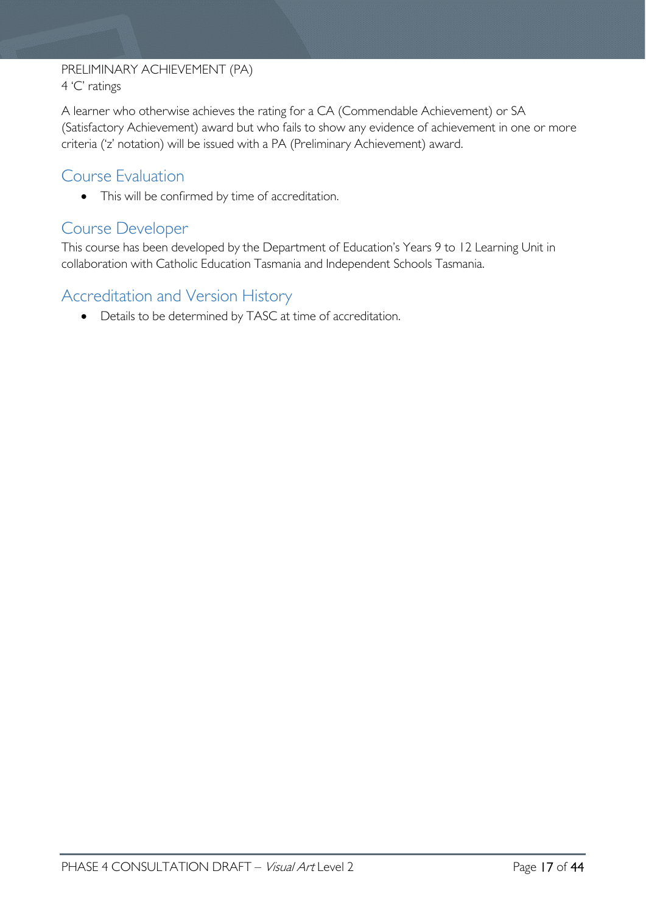#### PRELIMINARY ACHIEVEMENT (PA) 4 'C' ratings

A learner who otherwise achieves the rating for a CA (Commendable Achievement) or SA (Satisfactory Achievement) award but who fails to show any evidence of achievement in one or more criteria ('z' notation) will be issued with a PA (Preliminary Achievement) award.

# <span id="page-16-0"></span>Course Evaluation

• This will be confirmed by time of accreditation.

## <span id="page-16-1"></span>Course Developer

This course has been developed by the Department of Education's Years 9 to 12 Learning Unit in collaboration with Catholic Education Tasmania and Independent Schools Tasmania.

# <span id="page-16-2"></span>Accreditation and Version History

• Details to be determined by TASC at time of accreditation.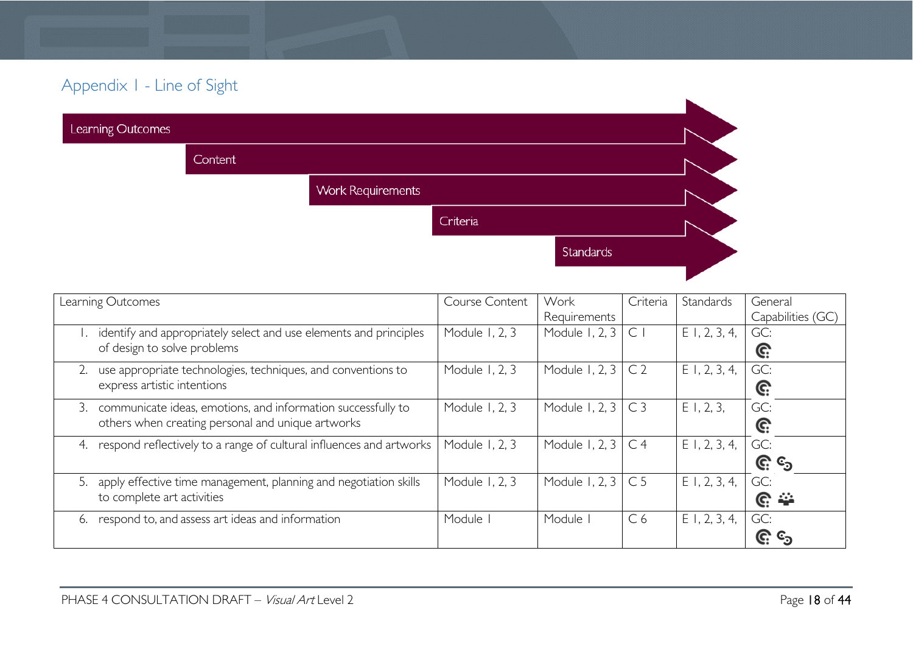# Appendix 1 - Line of Sight

| Learning Outcomes |         |                          |          |           |  |
|-------------------|---------|--------------------------|----------|-----------|--|
|                   | Content |                          |          |           |  |
|                   |         | <b>Work Requirements</b> |          |           |  |
|                   |         |                          | Criteria |           |  |
|                   |         |                          |          | Standards |  |
|                   |         |                          |          |           |  |

<span id="page-17-0"></span>

| Learning Outcomes                                                                                   | Course Content | Work                      | Criteria       | Standards       | General           |
|-----------------------------------------------------------------------------------------------------|----------------|---------------------------|----------------|-----------------|-------------------|
|                                                                                                     |                | Requirements              |                |                 | Capabilities (GC) |
| 1. identify and appropriately select and use elements and principles<br>of design to solve problems | Module 1, 2, 3 | Module 1, 2, 3            | $\mathsf{C}$   | $E$ I, 2, 3, 4, | GC:<br>C:         |
|                                                                                                     |                |                           |                |                 |                   |
| use appropriate technologies, techniques, and conventions to                                        | Module 1, 2, 3 | Module 1, 2, 3            | C <sub>2</sub> | $E$ 1, 2, 3, 4, | GC:               |
| express artistic intentions                                                                         |                |                           |                |                 | C:                |
| communicate ideas, emotions, and information successfully to<br>3.                                  | Module 1, 2, 3 | Module 1, 2, $3 \mid C3$  |                | $E$ 1, 2, 3,    | GC:               |
| others when creating personal and unique artworks                                                   |                |                           |                |                 | G:                |
| respond reflectively to a range of cultural influences and artworks                                 | Module 1, 2, 3 | Module 1, 2, 3 $\mid$ C 4 |                | $E$ 1, 2, 3, 4, | GC:               |
|                                                                                                     |                |                           |                |                 | <u>ଙ୍ଗ</u> ତ୍ର    |
| apply effective time management, planning and negotiation skills<br>5.                              | Module 1, 2, 3 | Module 1, 2, $3 \mid C$ 5 |                | $E$ I, 2, 3, 4, | GC:               |
| to complete art activities                                                                          |                |                           |                |                 | <u>ଙ୍</u>         |
| respond to, and assess art ideas and information<br>6.                                              | Module         | Module                    | C <sub>6</sub> | $E$ 1, 2, 3, 4, | GC:               |
|                                                                                                     |                |                           |                |                 | (C.               |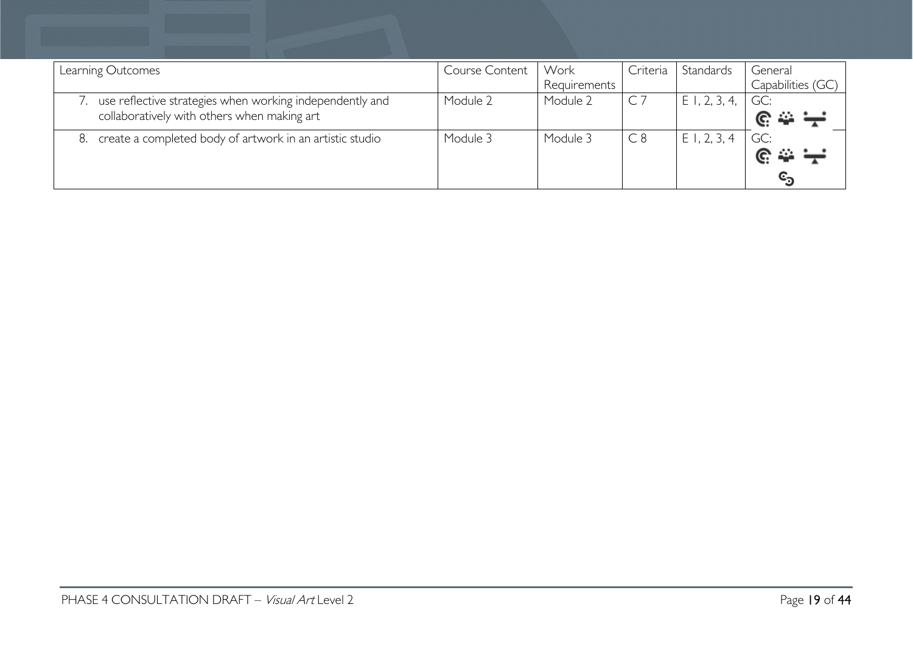| Learning Outcomes                                        | Course Content | Work         | Criteria | Standards         | General           |
|----------------------------------------------------------|----------------|--------------|----------|-------------------|-------------------|
|                                                          |                | Requirements |          |                   | Capabilities (GC) |
| use reflective strategies when working independently and | Module 2       | Module 2     |          | $E$ 1, 2, 3, 4, 1 | GC:               |
| collaboratively with others when making art              |                |              |          |                   |                   |
| create a completed body of artwork in an artistic studio | Module 3       | Module 3     | C8       | E1, 2, 3, 4       | GC:               |
|                                                          |                |              |          |                   |                   |
|                                                          |                |              |          |                   |                   |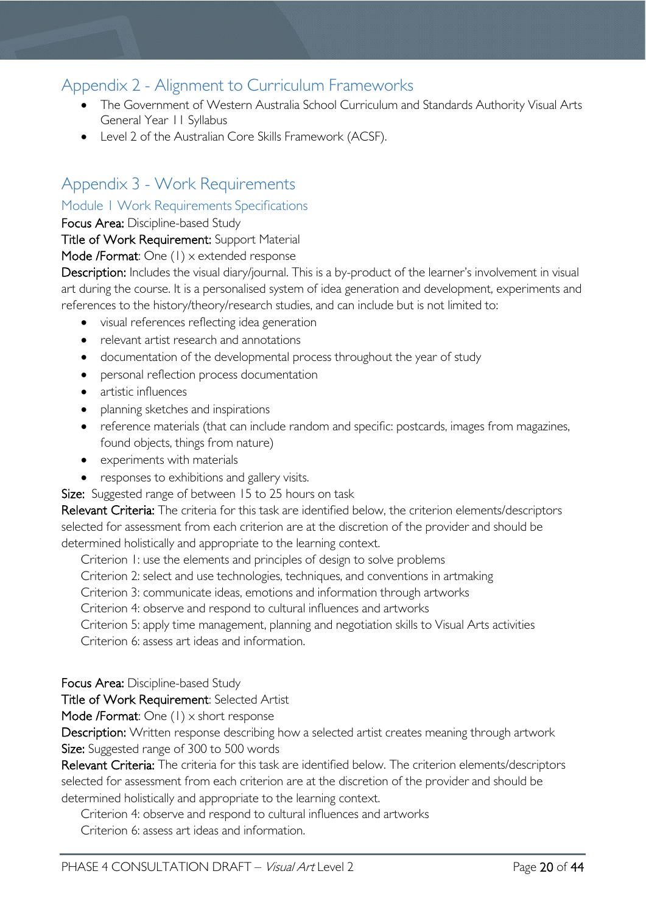# <span id="page-19-0"></span>Appendix 2 - Alignment to Curriculum Frameworks

- The Government of Western Australia School Curriculum and Standards Authority Visual Arts General Year 11 Syllabus
- Level 2 of the Australian Core Skills Framework (ACSF).

# <span id="page-19-1"></span>Appendix 3 - Work Requirements

#### <span id="page-19-2"></span>Module 1 Work Requirements Specifications

Focus Area: Discipline-based Study

Title of Work Requirement: Support Material

#### Mode /Format: One (1) x extended response

Description: Includes the visual diary/journal. This is a by-product of the learner's involvement in visual art during the course. It is a personalised system of idea generation and development, experiments and references to the history/theory/research studies, and can include but is not limited to:

- visual references reflecting idea generation
- relevant artist research and annotations
- documentation of the developmental process throughout the year of study
- personal reflection process documentation
- artistic influences
- planning sketches and inspirations
- reference materials (that can include random and specific: postcards, images from magazines, found objects, things from nature)
- experiments with materials
- responses to exhibitions and gallery visits.

Size: Suggested range of between 15 to 25 hours on task

Relevant Criteria: The criteria for this task are identified below, the criterion elements/descriptors selected for assessment from each criterion are at the discretion of the provider and should be determined holistically and appropriate to the learning context.

Criterion 1: use the elements and principles of design to solve problems

Criterion 2: select and use technologies, techniques, and conventions in artmaking

Criterion 3: communicate ideas, emotions and information through artworks

Criterion 4: observe and respond to cultural influences and artworks

Criterion 5: apply time management, planning and negotiation skills to Visual Arts activities Criterion 6: assess art ideas and information.

Focus Area: Discipline-based Study

Title of Work Requirement: Selected Artist

Mode /Format: One (1) x short response

Description: Written response describing how a selected artist creates meaning through artwork Size: Suggested range of 300 to 500 words

Relevant Criteria: The criteria for this task are identified below. The criterion elements/descriptors selected for assessment from each criterion are at the discretion of the provider and should be determined holistically and appropriate to the learning context.

Criterion 4: observe and respond to cultural influences and artworks

Criterion 6: assess art ideas and information.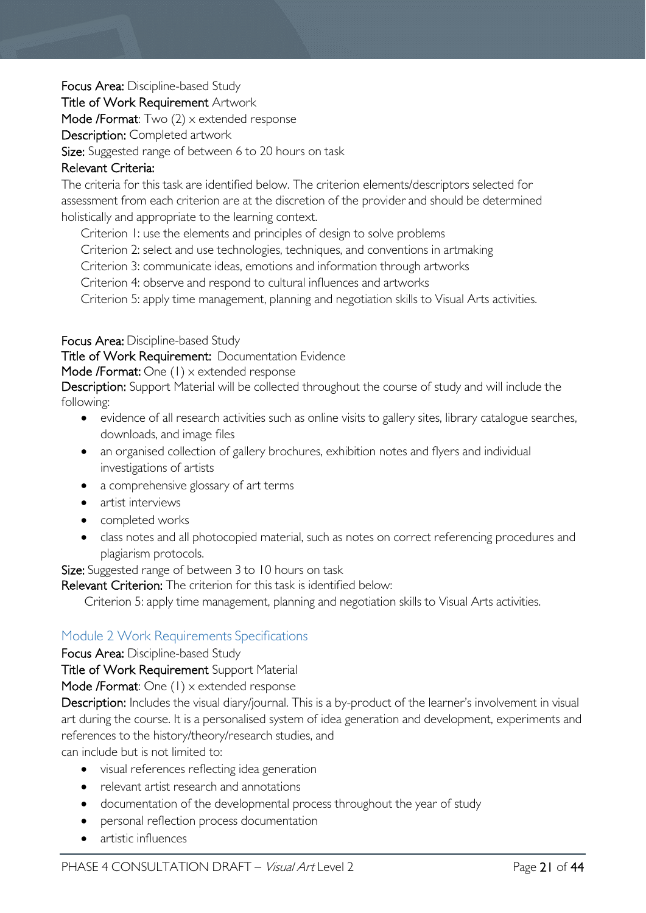Focus Area: Discipline-based Study

Title of Work Requirement Artwork

Mode /Format: Two (2) x extended response

Description: Completed artwork

Size: Suggested range of between 6 to 20 hours on task

#### Relevant Criteria:

The criteria for this task are identified below. The criterion elements/descriptors selected for assessment from each criterion are at the discretion of the provider and should be determined holistically and appropriate to the learning context.

Criterion 1: use the elements and principles of design to solve problems

Criterion 2: select and use technologies, techniques, and conventions in artmaking

Criterion 3: communicate ideas, emotions and information through artworks

Criterion 4: observe and respond to cultural influences and artworks

Criterion 5: apply time management, planning and negotiation skills to Visual Arts activities.

#### Focus Area: Discipline-based Study

Title of Work Requirement: Documentation Evidence   

Mode /Format: One (1) x extended response

Description: Support Material will be collected throughout the course of study and will include the following:

- evidence of all research activities such as online visits to gallery sites, library catalogue searches, downloads, and image files
- an organised collection of gallery brochures, exhibition notes and flyers and individual investigations of artists
- a comprehensive glossary of art terms
- artist interviews
- completed works
- class notes and all photocopied material, such as notes on correct referencing procedures and plagiarism protocols.

Size: Suggested range of between 3 to 10 hours on task

Relevant Criterion: The criterion for this task is identified below:

Criterion 5: apply time management, planning and negotiation skills to Visual Arts activities.

#### <span id="page-20-0"></span>Module 2 Work Requirements Specifications

Focus Area: Discipline-based Study

Title of Work Requirement Support Material

Mode /Format: One (1) x extended response

Description: Includes the visual diary/journal. This is a by-product of the learner's involvement in visual art during the course. It is a personalised system of idea generation and development, experiments and references to the history/theory/research studies, and

can include but is not limited to:

- visual references reflecting idea generation
- relevant artist research and annotations
- documentation of the developmental process throughout the year of study
- personal reflection process documentation
- artistic influences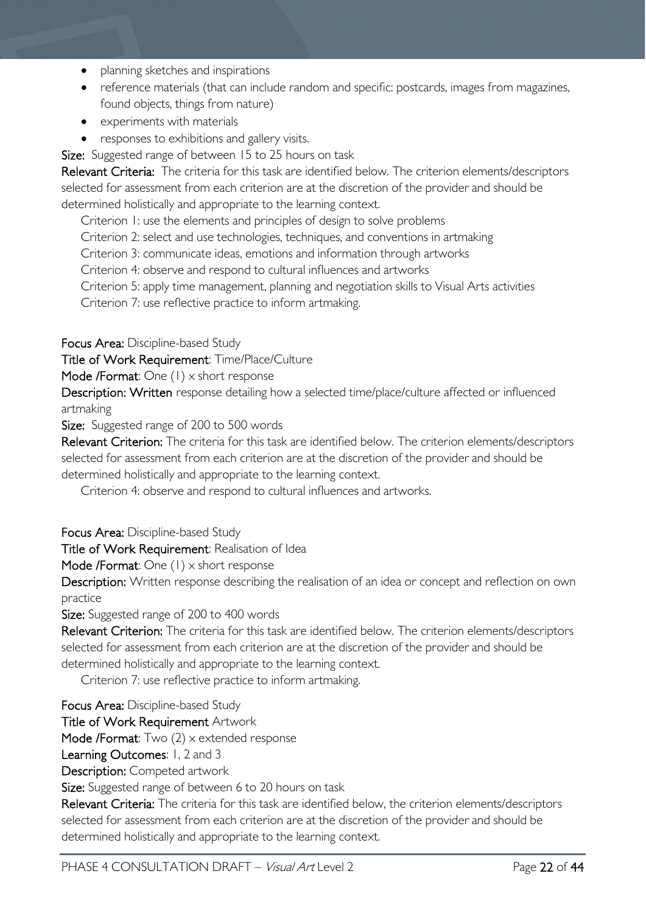- planning sketches and inspirations
- reference materials (that can include random and specific: postcards, images from magazines, found objects, things from nature)
- experiments with materials
- responses to exhibitions and gallery visits.

Size: Suggested range of between 15 to 25 hours on task

Relevant Criteria: The criteria for this task are identified below. The criterion elements/descriptors selected for assessment from each criterion are at the discretion of the provider and should be determined holistically and appropriate to the learning context.

Criterion 1: use the elements and principles of design to solve problems

Criterion 2: select and use technologies, techniques, and conventions in artmaking

Criterion 3: communicate ideas, emotions and information through artworks

Criterion 4: observe and respond to cultural influences and artworks

Criterion 5: apply time management, planning and negotiation skills to Visual Arts activities

Criterion 7: use reflective practice to inform artmaking.

Focus Area: Discipline-based Study

Title of Work Requirement: Time/Place/Culture

Mode /Format: One (1) x short response

Description: Written response detailing how a selected time/place/culture affected or influenced artmaking

Size: Suggested range of 200 to 500 words

Relevant Criterion: The criteria for this task are identified below. The criterion elements/descriptors selected for assessment from each criterion are at the discretion of the provider and should be determined holistically and appropriate to the learning context.

Criterion 4: observe and respond to cultural influences and artworks.

Focus Area: Discipline-based Study

Title of Work Requirement: Realisation of Idea

Mode /Format: One (1) x short response

Description: Written response describing the realisation of an idea or concept and reflection on own practice

Size: Suggested range of 200 to 400 words

Relevant Criterion: The criteria for this task are identified below. The criterion elements/descriptors selected for assessment from each criterion are at the discretion of the provider and should be determined holistically and appropriate to the learning context.

Criterion 7: use reflective practice to inform artmaking.

Focus Area: Discipline-based Study

Title of Work Requirement Artwork

Mode /Format: Two (2) x extended response

Learning Outcomes: 1, 2 and 3

Description: Competed artwork

Size: Suggested range of between 6 to 20 hours on task

Relevant Criteria: The criteria for this task are identified below, the criterion elements/descriptors selected for assessment from each criterion are at the discretion of the provider and should be determined holistically and appropriate to the learning context.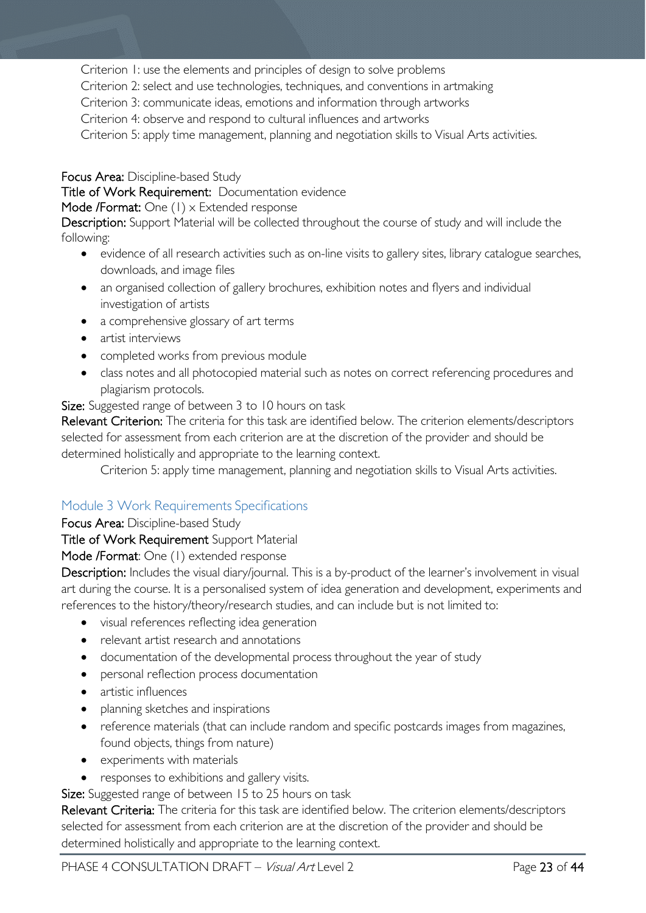Criterion 1: use the elements and principles of design to solve problems

Criterion 2: select and use technologies, techniques, and conventions in artmaking

Criterion 3: communicate ideas, emotions and information through artworks

Criterion 4: observe and respond to cultural influences and artworks

Criterion 5: apply time management, planning and negotiation skills to Visual Arts activities.

Focus Area: Discipline-based Study

Title of Work Requirement: Documentation evidence

Mode /Format: One (1) x Extended response

Description: Support Material will be collected throughout the course of study and will include the following:

- evidence of all research activities such as on-line visits to gallery sites, library catalogue searches, downloads, and image files
- an organised collection of gallery brochures, exhibition notes and flyers and individual investigation of artists
- a comprehensive glossary of art terms
- artist interviews
- completed works from previous module
- class notes and all photocopied material such as notes on correct referencing procedures and plagiarism protocols.

Size: Suggested range of between 3 to 10 hours on task

Relevant Criterion: The criteria for this task are identified below. The criterion elements/descriptors selected for assessment from each criterion are at the discretion of the provider and should be determined holistically and appropriate to the learning context.

Criterion 5: apply time management, planning and negotiation skills to Visual Arts activities.

## <span id="page-22-0"></span>Module 3 Work Requirements Specifications

Focus Area: Discipline-based Study

Title of Work Requirement Support Material

Mode /Format: One (1) extended response

Description: Includes the visual diary/journal. This is a by-product of the learner's involvement in visual art during the course. It is a personalised system of idea generation and development, experiments and references to the history/theory/research studies, and can include but is not limited to:

- visual references reflecting idea generation
- relevant artist research and annotations
- documentation of the developmental process throughout the year of study
- personal reflection process documentation
- artistic influences
- planning sketches and inspirations
- reference materials (that can include random and specific postcards images from magazines, found objects, things from nature)
- experiments with materials
- responses to exhibitions and gallery visits.
- Size: Suggested range of between 15 to 25 hours on task

Relevant Criteria: The criteria for this task are identified below. The criterion elements/descriptors selected for assessment from each criterion are at the discretion of the provider and should be determined holistically and appropriate to the learning context.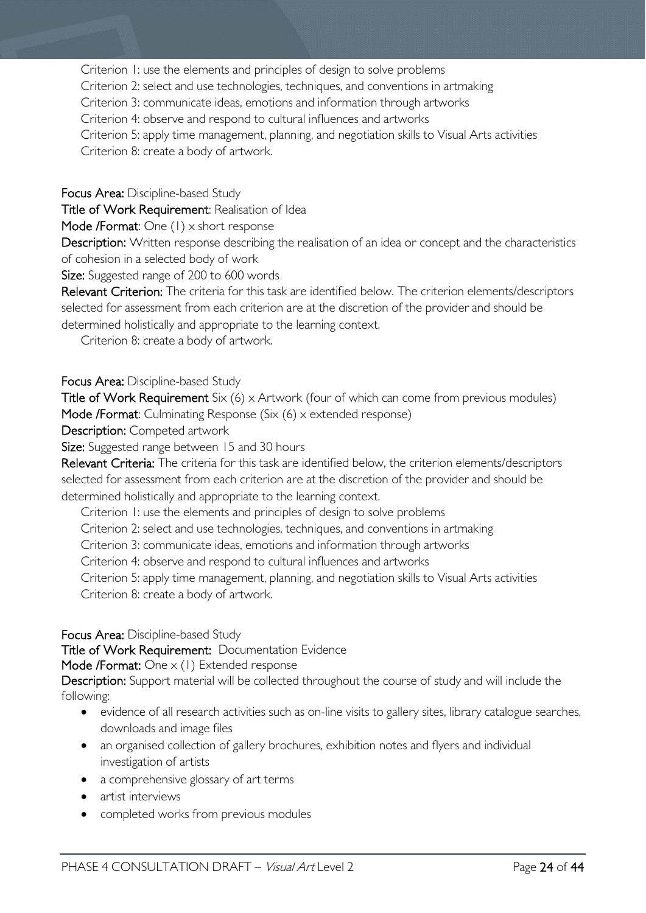Criterion 1: use the elements and principles of design to solve problems

Criterion 2: select and use technologies, techniques, and conventions in artmaking

Criterion 3: communicate ideas, emotions and information through artworks

Criterion 4: observe and respond to cultural influences and artworks

Criterion 5: apply time management, planning, and negotiation skills to Visual Arts activities

Criterion 8: create a body of artwork.

Focus Area: Discipline-based Study

Title of Work Requirement: Realisation of Idea

Mode /Format: One (1) x short response

Description: Written response describing the realisation of an idea or concept and the characteristics of cohesion in a selected body of work

Size: Suggested range of 200 to 600 words

Relevant Criterion: The criteria for this task are identified below. The criterion elements/descriptors selected for assessment from each criterion are at the discretion of the provider and should be determined holistically and appropriate to the learning context.

Criterion 8: create a body of artwork.

#### Focus Area: Discipline-based Study

Title of Work Requirement Six (6) x Artwork (four of which can come from previous modules) Mode /Format: Culminating Response (Six (6) x extended response)

Description: Competed artwork

Size: Suggested range between 15 and 30 hours

Relevant Criteria: The criteria for this task are identified below, the criterion elements/descriptors selected for assessment from each criterion are at the discretion of the provider and should be determined holistically and appropriate to the learning context.

Criterion 1: use the elements and principles of design to solve problems

Criterion 2: select and use technologies, techniques, and conventions in artmaking

Criterion 3: communicate ideas, emotions and information through artworks

Criterion 4: observe and respond to cultural influences and artworks

Criterion 5: apply time management, planning, and negotiation skills to Visual Arts activities

Criterion 8: create a body of artwork.

Focus Area: Discipline-based Study

Title of Work Requirement: Documentation Evidence

Mode /Format: One x (1) Extended response

Description: Support material will be collected throughout the course of study and will include the following:

- evidence of all research activities such as on-line visits to gallery sites, library catalogue searches, downloads and image files
- an organised collection of gallery brochures, exhibition notes and flyers and individual investigation of artists
- a comprehensive glossary of art terms
- artist interviews
- completed works from previous modules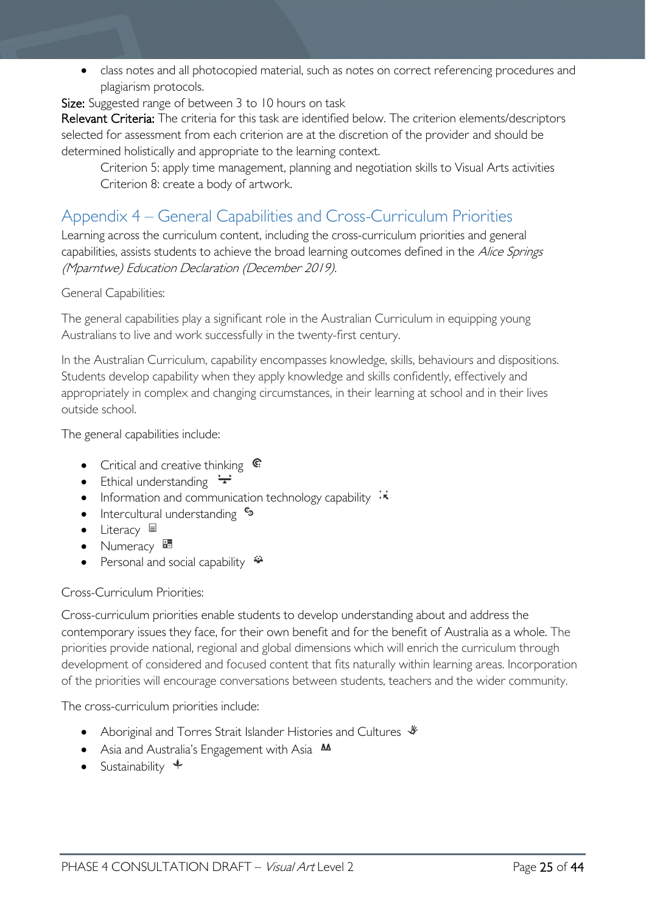• class notes and all photocopied material, such as notes on correct referencing procedures and plagiarism protocols.

Size: Suggested range of between 3 to 10 hours on task

Relevant Criteria: The criteria for this task are identified below. The criterion elements/descriptors selected for assessment from each criterion are at the discretion of the provider and should be determined holistically and appropriate to the learning context.

Criterion 5: apply time management, planning and negotiation skills to Visual Arts activities Criterion 8: create a body of artwork.

# <span id="page-24-0"></span>Appendix 4 – General Capabilities and Cross-Curriculum Priorities

Learning across the curriculum content, including the cross-curriculum priorities and general capabilities, assists students to achieve the broad learning outcomes defined in the Alice Springs (Mparntwe) Education Declaration (December 2019).

#### General Capabilities:

The general capabilities play a significant role in the Australian Curriculum in equipping young Australians to live and work successfully in the twenty-first century.

In the Australian Curriculum, capability encompasses knowledge, skills, behaviours and dispositions. Students develop capability when they apply knowledge and skills confidently, effectively and appropriately in complex and changing circumstances, in their learning at school and in their lives outside school.

The general capabilities include:

- Critical and creative thinking  $\mathbb{C}$
- Ethical understanding  $\div$
- Information and communication technology capability  $\cdot$
- Intercultural understanding •
- Literacy  $\blacksquare$
- Numeracy
- Personal and social capability  $\ddot{\bullet}$

#### Cross-Curriculum Priorities:

Cross-curriculum priorities enable students to develop understanding about and address the contemporary issues they face, for their own benefit and for the benefit of Australia as a whole. The priorities provide national, regional and global dimensions which will enrich the curriculum through development of considered and focused content that fits naturally within learning areas. Incorporation of the priorities will encourage conversations between students, teachers and the wider community.

The cross-curriculum priorities include:

- Aboriginal and Torres Strait Islander Histories and Cultures  $\mathcal$
- Asia and Australia's Engagement with Asia **AA**
- Sustainability  $\triangleleft$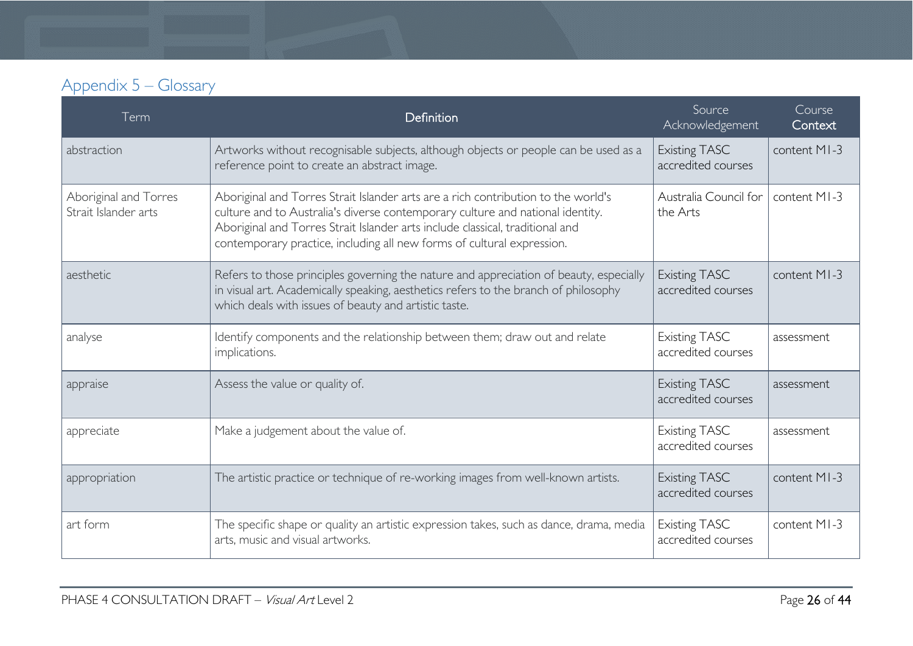# Appendix 5 – Glossary

<span id="page-25-0"></span>

| Term                                          | Definition                                                                                                                                                                                                                                                                                                                     | Source<br>Acknowledgement                  | Course<br>Context |
|-----------------------------------------------|--------------------------------------------------------------------------------------------------------------------------------------------------------------------------------------------------------------------------------------------------------------------------------------------------------------------------------|--------------------------------------------|-------------------|
| abstraction                                   | Artworks without recognisable subjects, although objects or people can be used as a<br>reference point to create an abstract image.                                                                                                                                                                                            | <b>Existing TASC</b><br>accredited courses | content MI-3      |
| Aboriginal and Torres<br>Strait Islander arts | Aboriginal and Torres Strait Islander arts are a rich contribution to the world's<br>culture and to Australia's diverse contemporary culture and national identity.<br>Aboriginal and Torres Strait Islander arts include classical, traditional and<br>contemporary practice, including all new forms of cultural expression. | Australia Council for<br>the Arts          | content MI-3      |
| aesthetic                                     | Refers to those principles governing the nature and appreciation of beauty, especially<br>in visual art. Academically speaking, aesthetics refers to the branch of philosophy<br>which deals with issues of beauty and artistic taste.                                                                                         | <b>Existing TASC</b><br>accredited courses | content MI-3      |
| analyse                                       | Identify components and the relationship between them; draw out and relate<br>implications.                                                                                                                                                                                                                                    | <b>Existing TASC</b><br>accredited courses | assessment        |
| appraise                                      | Assess the value or quality of.                                                                                                                                                                                                                                                                                                | <b>Existing TASC</b><br>accredited courses | assessment        |
| appreciate                                    | Make a judgement about the value of.                                                                                                                                                                                                                                                                                           | <b>Existing TASC</b><br>accredited courses | assessment        |
| appropriation                                 | The artistic practice or technique of re-working images from well-known artists.                                                                                                                                                                                                                                               | <b>Existing TASC</b><br>accredited courses | content MI-3      |
| art form                                      | The specific shape or quality an artistic expression takes, such as dance, drama, media<br>arts, music and visual artworks.                                                                                                                                                                                                    | <b>Existing TASC</b><br>accredited courses | content MI-3      |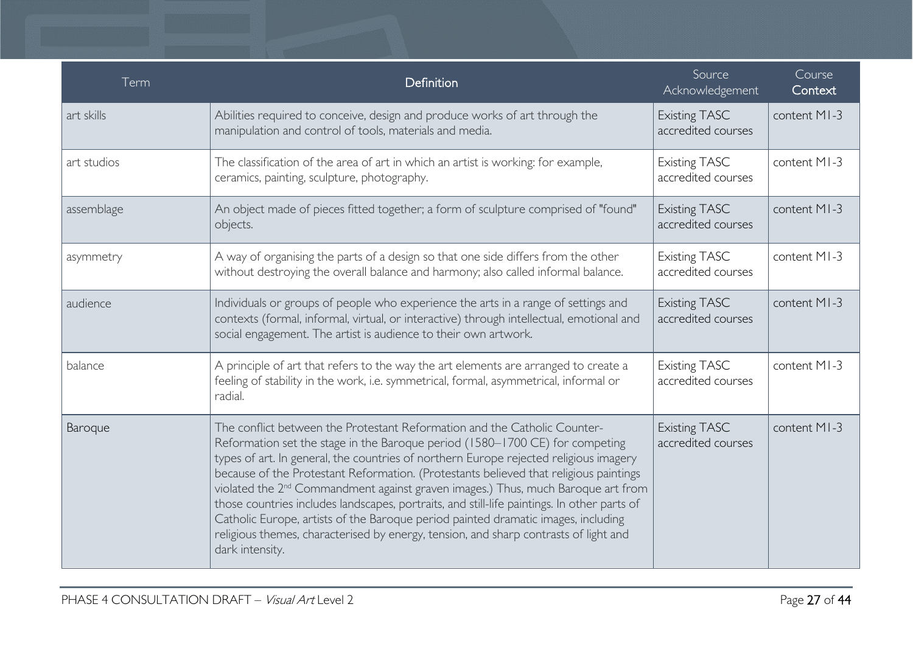| Term        | Definition                                                                                                                                                                                                                                                                                                                                                                                                                                                                                                                                                                                                                                                                                                                                 | Source<br>Acknowledgement                  | Course<br>Context |
|-------------|--------------------------------------------------------------------------------------------------------------------------------------------------------------------------------------------------------------------------------------------------------------------------------------------------------------------------------------------------------------------------------------------------------------------------------------------------------------------------------------------------------------------------------------------------------------------------------------------------------------------------------------------------------------------------------------------------------------------------------------------|--------------------------------------------|-------------------|
| art skills  | Abilities required to conceive, design and produce works of art through the<br>manipulation and control of tools, materials and media.                                                                                                                                                                                                                                                                                                                                                                                                                                                                                                                                                                                                     | <b>Existing TASC</b><br>accredited courses | content MI-3      |
| art studios | The classification of the area of art in which an artist is working: for example,<br>ceramics, painting, sculpture, photography.                                                                                                                                                                                                                                                                                                                                                                                                                                                                                                                                                                                                           | <b>Existing TASC</b><br>accredited courses | content MI-3      |
| assemblage  | An object made of pieces fitted together; a form of sculpture comprised of "found"<br>objects.                                                                                                                                                                                                                                                                                                                                                                                                                                                                                                                                                                                                                                             | <b>Existing TASC</b><br>accredited courses | content MI-3      |
| asymmetry   | A way of organising the parts of a design so that one side differs from the other<br>without destroying the overall balance and harmony; also called informal balance.                                                                                                                                                                                                                                                                                                                                                                                                                                                                                                                                                                     | <b>Existing TASC</b><br>accredited courses | content MI-3      |
| audience    | Individuals or groups of people who experience the arts in a range of settings and<br>contexts (formal, informal, virtual, or interactive) through intellectual, emotional and<br>social engagement. The artist is audience to their own artwork.                                                                                                                                                                                                                                                                                                                                                                                                                                                                                          | <b>Existing TASC</b><br>accredited courses | content MI-3      |
| balance     | A principle of art that refers to the way the art elements are arranged to create a<br>feeling of stability in the work, i.e. symmetrical, formal, asymmetrical, informal or<br>radial.                                                                                                                                                                                                                                                                                                                                                                                                                                                                                                                                                    | <b>Existing TASC</b><br>accredited courses | content MI-3      |
| Baroque     | The conflict between the Protestant Reformation and the Catholic Counter-<br>Reformation set the stage in the Baroque period (1580-1700 CE) for competing<br>types of art. In general, the countries of northern Europe rejected religious imagery<br>because of the Protestant Reformation. (Protestants believed that religious paintings<br>violated the 2 <sup>nd</sup> Commandment against graven images.) Thus, much Baroque art from<br>those countries includes landscapes, portraits, and still-life paintings. In other parts of<br>Catholic Europe, artists of the Baroque period painted dramatic images, including<br>religious themes, characterised by energy, tension, and sharp contrasts of light and<br>dark intensity. | <b>Existing TASC</b><br>accredited courses | content MI-3      |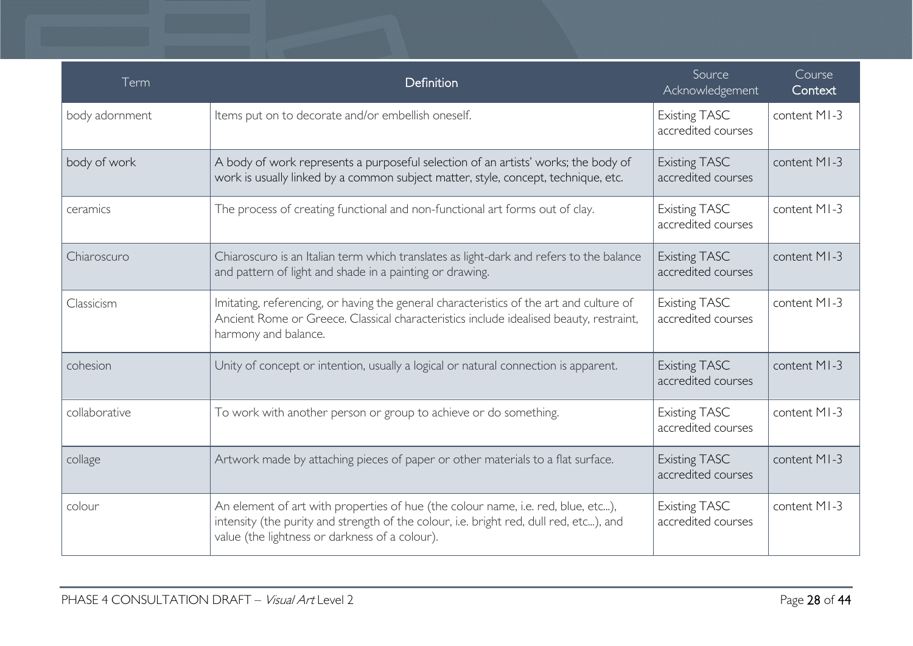| Term           | Definition                                                                                                                                                                                                                   | Source<br>Acknowledgement                  | Course<br>Context |
|----------------|------------------------------------------------------------------------------------------------------------------------------------------------------------------------------------------------------------------------------|--------------------------------------------|-------------------|
| body adornment | Items put on to decorate and/or embellish oneself.                                                                                                                                                                           | <b>Existing TASC</b><br>accredited courses | content MI-3      |
| body of work   | A body of work represents a purposeful selection of an artists' works; the body of<br>work is usually linked by a common subject matter, style, concept, technique, etc.                                                     | <b>Existing TASC</b><br>accredited courses | content MI-3      |
| ceramics       | The process of creating functional and non-functional art forms out of clay.                                                                                                                                                 | <b>Existing TASC</b><br>accredited courses | content MI-3      |
| Chiaroscuro    | Chiaroscuro is an Italian term which translates as light-dark and refers to the balance<br>and pattern of light and shade in a painting or drawing.                                                                          | <b>Existing TASC</b><br>accredited courses | content MI-3      |
| Classicism     | Imitating, referencing, or having the general characteristics of the art and culture of<br>Ancient Rome or Greece. Classical characteristics include idealised beauty, restraint,<br>harmony and balance.                    | <b>Existing TASC</b><br>accredited courses | content MI-3      |
| cohesion       | Unity of concept or intention, usually a logical or natural connection is apparent.                                                                                                                                          | <b>Existing TASC</b><br>accredited courses | content MI-3      |
| collaborative  | To work with another person or group to achieve or do something.                                                                                                                                                             | <b>Existing TASC</b><br>accredited courses | content MI-3      |
| collage        | Artwork made by attaching pieces of paper or other materials to a flat surface.                                                                                                                                              | <b>Existing TASC</b><br>accredited courses | content MI-3      |
| colour         | An element of art with properties of hue (the colour name, i.e. red, blue, etc),<br>intensity (the purity and strength of the colour, i.e. bright red, dull red, etc), and<br>value (the lightness or darkness of a colour). | Existing TASC<br>accredited courses        | content MI-3      |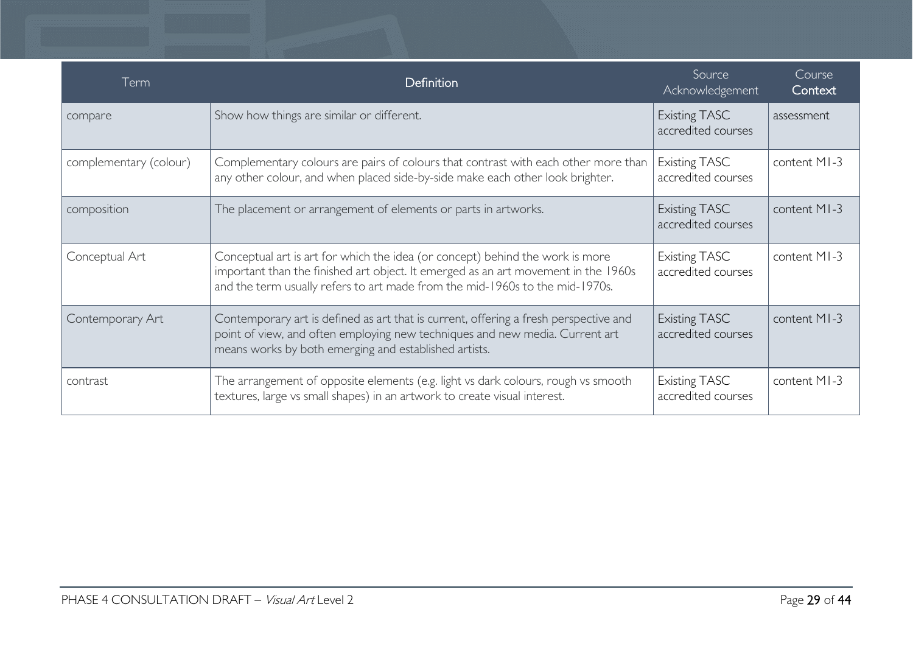| Term                   | <b>Definition</b>                                                                                                                                                                                                                                   | Source<br>Acknowledgement                  | Course<br>Context |
|------------------------|-----------------------------------------------------------------------------------------------------------------------------------------------------------------------------------------------------------------------------------------------------|--------------------------------------------|-------------------|
| compare                | Show how things are similar or different.                                                                                                                                                                                                           | <b>Existing TASC</b><br>accredited courses | assessment        |
| complementary (colour) | Complementary colours are pairs of colours that contrast with each other more than<br>any other colour, and when placed side-by-side make each other look brighter.                                                                                 | <b>Existing TASC</b><br>accredited courses | content MI-3      |
| composition            | The placement or arrangement of elements or parts in artworks.                                                                                                                                                                                      | <b>Existing TASC</b><br>accredited courses | content MI-3      |
| Conceptual Art         | Conceptual art is art for which the idea (or concept) behind the work is more<br>important than the finished art object. It emerged as an art movement in the 1960s<br>and the term usually refers to art made from the mid-1960s to the mid-1970s. | <b>Existing TASC</b><br>accredited courses | content MI-3      |
| Contemporary Art       | Contemporary art is defined as art that is current, offering a fresh perspective and<br>point of view, and often employing new techniques and new media. Current art<br>means works by both emerging and established artists.                       | <b>Existing TASC</b><br>accredited courses | content MI-3      |
| contrast               | The arrangement of opposite elements (e.g. light vs dark colours, rough vs smooth<br>textures, large vs small shapes) in an artwork to create visual interest.                                                                                      | <b>Existing TASC</b><br>accredited courses | content MI-3      |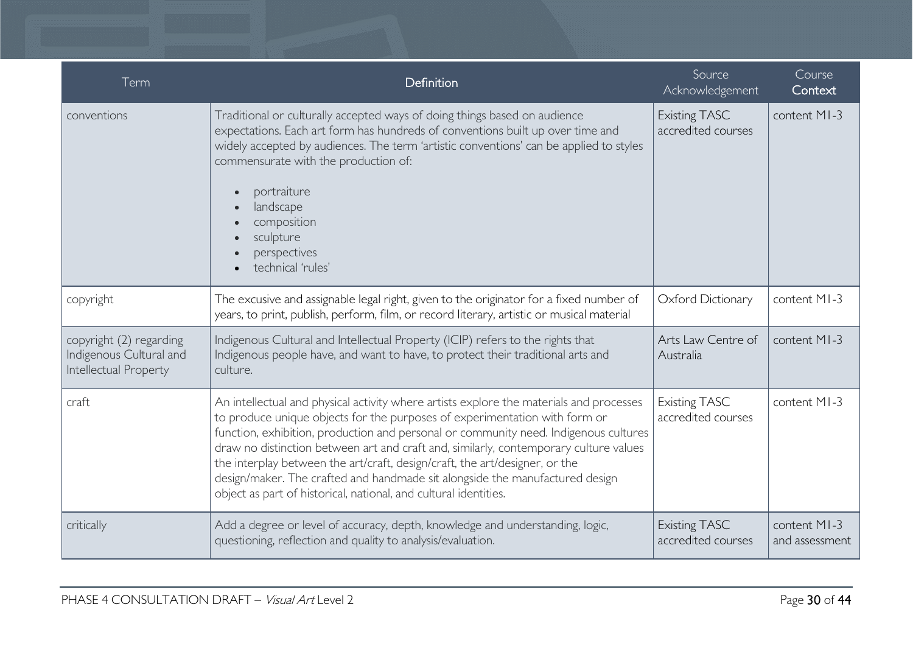| Term                                                                        | Definition                                                                                                                                                                                                                                                                                                                                                                                                                                                                                                                                                                                | Source<br>Acknowledgement                  | Course<br>Context              |
|-----------------------------------------------------------------------------|-------------------------------------------------------------------------------------------------------------------------------------------------------------------------------------------------------------------------------------------------------------------------------------------------------------------------------------------------------------------------------------------------------------------------------------------------------------------------------------------------------------------------------------------------------------------------------------------|--------------------------------------------|--------------------------------|
| conventions                                                                 | Traditional or culturally accepted ways of doing things based on audience<br>expectations. Each art form has hundreds of conventions built up over time and<br>widely accepted by audiences. The term 'artistic conventions' can be applied to styles<br>commensurate with the production of:<br>portraiture<br>$\bullet$<br>landscape<br>composition<br>sculpture<br>$\bullet$<br>perspectives<br>technical 'rules'                                                                                                                                                                      | Existing TASC<br>accredited courses        | content MI-3                   |
| copyright                                                                   | The excusive and assignable legal right, given to the originator for a fixed number of<br>years, to print, publish, perform, film, or record literary, artistic or musical material                                                                                                                                                                                                                                                                                                                                                                                                       | Oxford Dictionary                          | content MI-3                   |
| copyright (2) regarding<br>Indigenous Cultural and<br>Intellectual Property | Indigenous Cultural and Intellectual Property (ICIP) refers to the rights that<br>Indigenous people have, and want to have, to protect their traditional arts and<br>culture.                                                                                                                                                                                                                                                                                                                                                                                                             | Arts Law Centre of<br>Australia            | content MI-3                   |
| craft                                                                       | An intellectual and physical activity where artists explore the materials and processes<br>to produce unique objects for the purposes of experimentation with form or<br>function, exhibition, production and personal or community need. Indigenous cultures<br>draw no distinction between art and craft and, similarly, contemporary culture values<br>the interplay between the art/craft, design/craft, the art/designer, or the<br>design/maker. The crafted and handmade sit alongside the manufactured design<br>object as part of historical, national, and cultural identities. | <b>Existing TASC</b><br>accredited courses | content MI-3                   |
| critically                                                                  | Add a degree or level of accuracy, depth, knowledge and understanding, logic,<br>questioning, reflection and quality to analysis/evaluation.                                                                                                                                                                                                                                                                                                                                                                                                                                              | <b>Existing TASC</b><br>accredited courses | content MI-3<br>and assessment |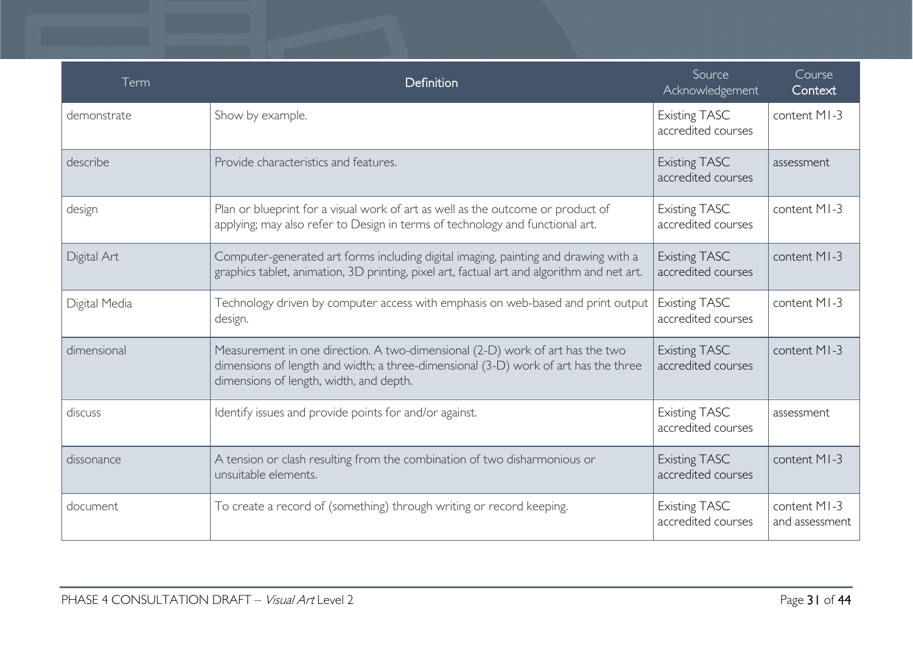| Term          | Definition                                                                                                                                                                                                      | Source<br>Acknowledgement                  | Course<br>Context              |
|---------------|-----------------------------------------------------------------------------------------------------------------------------------------------------------------------------------------------------------------|--------------------------------------------|--------------------------------|
| demonstrate   | Show by example.                                                                                                                                                                                                | <b>Existing TASC</b><br>accredited courses | content MI-3                   |
| describe      | Provide characteristics and features.                                                                                                                                                                           | <b>Existing TASC</b><br>accredited courses | assessment                     |
| design        | Plan or blueprint for a visual work of art as well as the outcome or product of<br>applying; may also refer to Design in terms of technology and functional art.                                                | <b>Existing TASC</b><br>accredited courses | content MI-3                   |
| Digital Art   | Computer-generated art forms including digital imaging, painting and drawing with a<br>graphics tablet, animation, 3D printing, pixel art, factual art and algorithm and net art.                               | <b>Existing TASC</b><br>accredited courses | content MI-3                   |
| Digital Media | Technology driven by computer access with emphasis on web-based and print output<br>design.                                                                                                                     | <b>Existing TASC</b><br>accredited courses | content MI-3                   |
| dimensional   | Measurement in one direction. A two-dimensional (2-D) work of art has the two<br>dimensions of length and width; a three-dimensional (3-D) work of art has the three<br>dimensions of length, width, and depth. | <b>Existing TASC</b><br>accredited courses | content MI-3                   |
| discuss       | Identify issues and provide points for and/or against.                                                                                                                                                          | <b>Existing TASC</b><br>accredited courses | assessment                     |
| dissonance    | A tension or clash resulting from the combination of two disharmonious or<br>unsuitable elements.                                                                                                               | <b>Existing TASC</b><br>accredited courses | content MI-3                   |
| document      | To create a record of (something) through writing or record keeping.                                                                                                                                            | <b>Existing TASC</b><br>accredited courses | content MI-3<br>and assessment |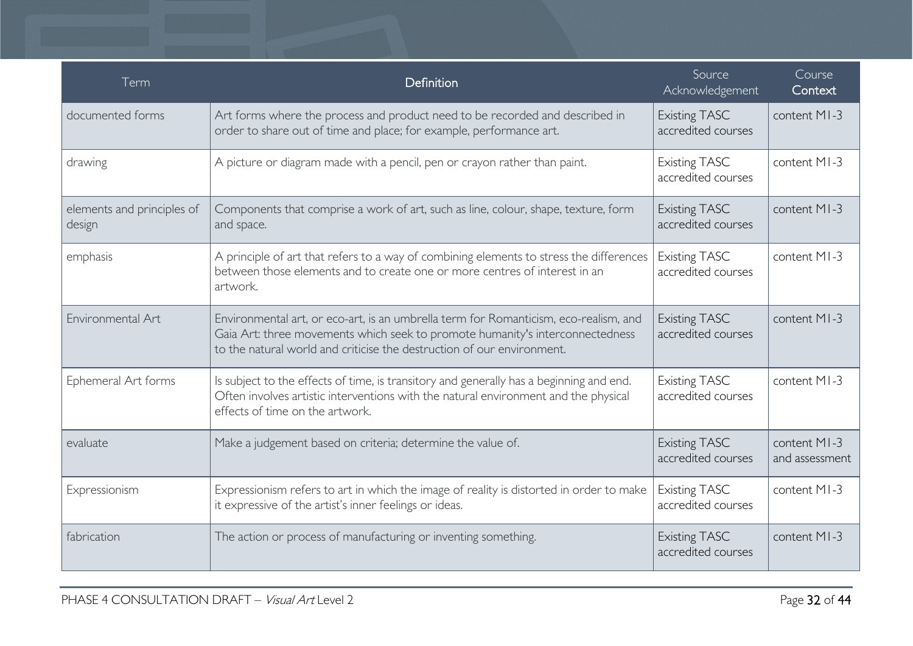| Term                                 | Definition                                                                                                                                                                                                                                      | Source<br>Acknowledgement                  | Course<br>Context              |
|--------------------------------------|-------------------------------------------------------------------------------------------------------------------------------------------------------------------------------------------------------------------------------------------------|--------------------------------------------|--------------------------------|
| documented forms                     | Art forms where the process and product need to be recorded and described in<br>order to share out of time and place; for example, performance art.                                                                                             | <b>Existing TASC</b><br>accredited courses | content MI-3                   |
| drawing                              | A picture or diagram made with a pencil, pen or crayon rather than paint.                                                                                                                                                                       | <b>Existing TASC</b><br>accredited courses | content MI-3                   |
| elements and principles of<br>design | Components that comprise a work of art, such as line, colour, shape, texture, form<br>and space.                                                                                                                                                | <b>Existing TASC</b><br>accredited courses | content MI-3                   |
| emphasis                             | A principle of art that refers to a way of combining elements to stress the differences<br>between those elements and to create one or more centres of interest in an<br>artwork.                                                               | <b>Existing TASC</b><br>accredited courses | content MI-3                   |
| Environmental Art                    | Environmental art, or eco-art, is an umbrella term for Romanticism, eco-realism, and<br>Gaia Art: three movements which seek to promote humanity's interconnectedness<br>to the natural world and criticise the destruction of our environment. | <b>Existing TASC</b><br>accredited courses | content MI-3                   |
| Ephemeral Art forms                  | Is subject to the effects of time, is transitory and generally has a beginning and end.<br>Often involves artistic interventions with the natural environment and the physical<br>effects of time on the artwork.                               | <b>Existing TASC</b><br>accredited courses | content MI-3                   |
| evaluate                             | Make a judgement based on criteria; determine the value of.                                                                                                                                                                                     | <b>Existing TASC</b><br>accredited courses | content MI-3<br>and assessment |
| Expressionism                        | Expressionism refers to art in which the image of reality is distorted in order to make<br>it expressive of the artist's inner feelings or ideas.                                                                                               | <b>Existing TASC</b><br>accredited courses | content MI-3                   |
| fabrication                          | The action or process of manufacturing or inventing something.                                                                                                                                                                                  | <b>Existing TASC</b><br>accredited courses | content MI-3                   |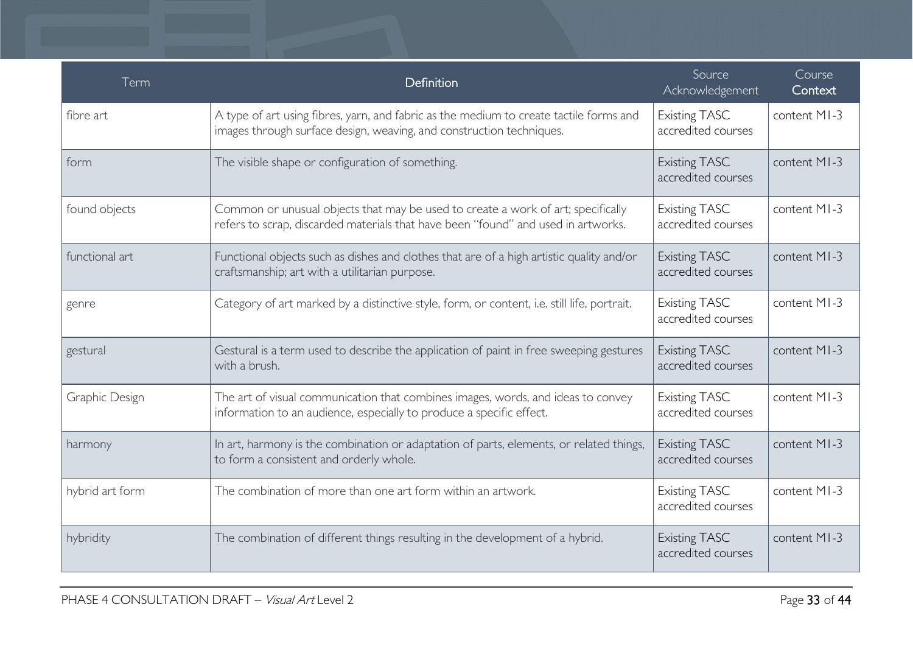| Term            | Definition                                                                                                                                                            | Source<br>Acknowledgement                  | Course<br>Context |
|-----------------|-----------------------------------------------------------------------------------------------------------------------------------------------------------------------|--------------------------------------------|-------------------|
| fibre art       | A type of art using fibres, yarn, and fabric as the medium to create tactile forms and<br>images through surface design, weaving, and construction techniques.        | <b>Existing TASC</b><br>accredited courses | content MI-3      |
| form            | The visible shape or configuration of something.                                                                                                                      | <b>Existing TASC</b><br>accredited courses | content MI-3      |
| found objects   | Common or unusual objects that may be used to create a work of art; specifically<br>refers to scrap, discarded materials that have been "found" and used in artworks. | <b>Existing TASC</b><br>accredited courses | content MI-3      |
| functional art  | Functional objects such as dishes and clothes that are of a high artistic quality and/or<br>craftsmanship; art with a utilitarian purpose.                            | <b>Existing TASC</b><br>accredited courses | content MI-3      |
| genre           | Category of art marked by a distinctive style, form, or content, i.e. still life, portrait.                                                                           | <b>Existing TASC</b><br>accredited courses | content MI-3      |
| gestural        | Gestural is a term used to describe the application of paint in free sweeping gestures<br>with a brush.                                                               | <b>Existing TASC</b><br>accredited courses | content MI-3      |
| Graphic Design  | The art of visual communication that combines images, words, and ideas to convey<br>information to an audience, especially to produce a specific effect.              | <b>Existing TASC</b><br>accredited courses | content MI-3      |
| harmony         | In art, harmony is the combination or adaptation of parts, elements, or related things,<br>to form a consistent and orderly whole.                                    | <b>Existing TASC</b><br>accredited courses | content MI-3      |
| hybrid art form | The combination of more than one art form within an artwork.                                                                                                          | <b>Existing TASC</b><br>accredited courses | content MI-3      |
| hybridity       | The combination of different things resulting in the development of a hybrid.                                                                                         | <b>Existing TASC</b><br>accredited courses | content MI-3      |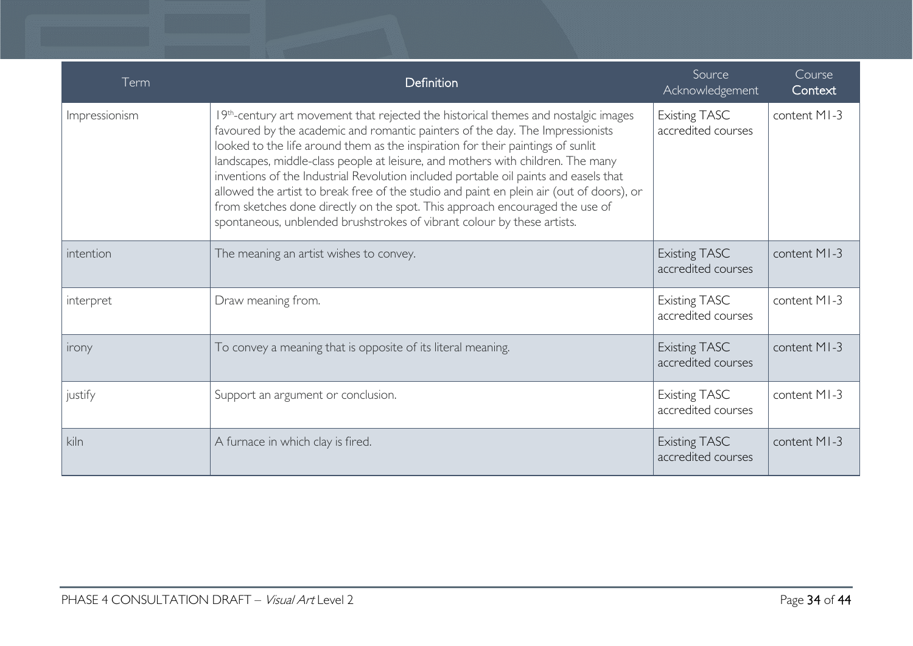| Term          | Definition                                                                                                                                                                                                                                                                                                                                                                                                                                                                                                                                                                                                                                                                               | Source<br>Acknowledgement                  | Course<br>Context |
|---------------|------------------------------------------------------------------------------------------------------------------------------------------------------------------------------------------------------------------------------------------------------------------------------------------------------------------------------------------------------------------------------------------------------------------------------------------------------------------------------------------------------------------------------------------------------------------------------------------------------------------------------------------------------------------------------------------|--------------------------------------------|-------------------|
| Impressionism | 19th-century art movement that rejected the historical themes and nostalgic images<br>favoured by the academic and romantic painters of the day. The Impressionists<br>looked to the life around them as the inspiration for their paintings of sunlit<br>landscapes, middle-class people at leisure, and mothers with children. The many<br>inventions of the Industrial Revolution included portable oil paints and easels that<br>allowed the artist to break free of the studio and paint en plein air (out of doors), or<br>from sketches done directly on the spot. This approach encouraged the use of<br>spontaneous, unblended brushstrokes of vibrant colour by these artists. | <b>Existing TASC</b><br>accredited courses | content MI-3      |
| intention     | The meaning an artist wishes to convey.                                                                                                                                                                                                                                                                                                                                                                                                                                                                                                                                                                                                                                                  | <b>Existing TASC</b><br>accredited courses | content MI-3      |
| interpret     | Draw meaning from.                                                                                                                                                                                                                                                                                                                                                                                                                                                                                                                                                                                                                                                                       | <b>Existing TASC</b><br>accredited courses | content MI-3      |
| irony         | To convey a meaning that is opposite of its literal meaning.                                                                                                                                                                                                                                                                                                                                                                                                                                                                                                                                                                                                                             | <b>Existing TASC</b><br>accredited courses | content MI-3      |
| justify       | Support an argument or conclusion.                                                                                                                                                                                                                                                                                                                                                                                                                                                                                                                                                                                                                                                       | <b>Existing TASC</b><br>accredited courses | content MI-3      |
| kiln          | A furnace in which clay is fired.                                                                                                                                                                                                                                                                                                                                                                                                                                                                                                                                                                                                                                                        | <b>Existing TASC</b><br>accredited courses | content MI-3      |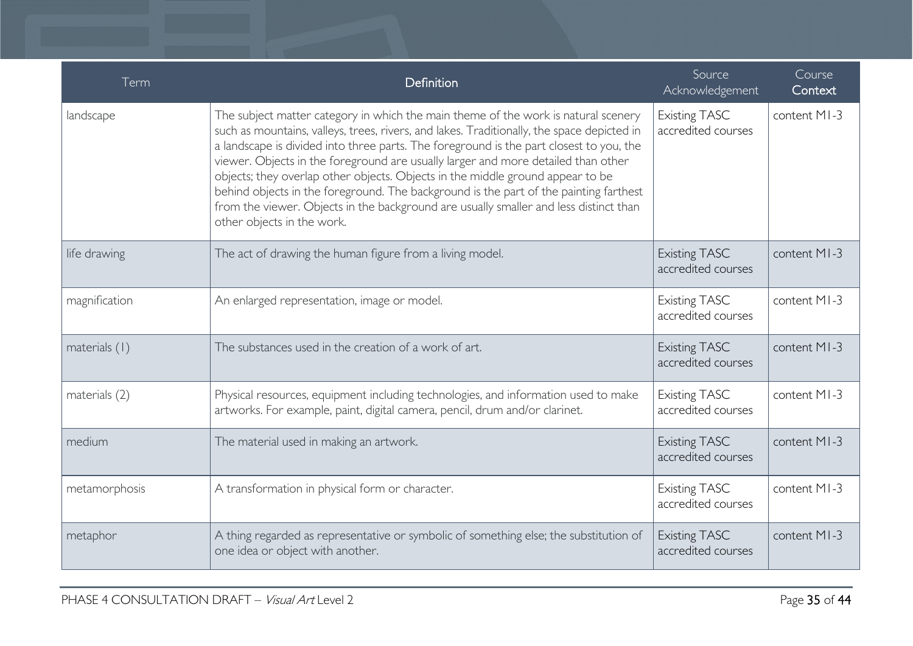| Term          | Definition                                                                                                                                                                                                                                                                                                                                                                                                                                                                                                                                                                                                                                                         | Source<br>Acknowledgement                  | Course<br>Context |
|---------------|--------------------------------------------------------------------------------------------------------------------------------------------------------------------------------------------------------------------------------------------------------------------------------------------------------------------------------------------------------------------------------------------------------------------------------------------------------------------------------------------------------------------------------------------------------------------------------------------------------------------------------------------------------------------|--------------------------------------------|-------------------|
| landscape     | The subject matter category in which the main theme of the work is natural scenery<br>such as mountains, valleys, trees, rivers, and lakes. Traditionally, the space depicted in<br>a landscape is divided into three parts. The foreground is the part closest to you, the<br>viewer. Objects in the foreground are usually larger and more detailed than other<br>objects; they overlap other objects. Objects in the middle ground appear to be<br>behind objects in the foreground. The background is the part of the painting farthest<br>from the viewer. Objects in the background are usually smaller and less distinct than<br>other objects in the work. | <b>Existing TASC</b><br>accredited courses | content MI-3      |
| life drawing  | The act of drawing the human figure from a living model.                                                                                                                                                                                                                                                                                                                                                                                                                                                                                                                                                                                                           | <b>Existing TASC</b><br>accredited courses | content MI-3      |
| magnification | An enlarged representation, image or model.                                                                                                                                                                                                                                                                                                                                                                                                                                                                                                                                                                                                                        | <b>Existing TASC</b><br>accredited courses | content MI-3      |
| materials (1) | The substances used in the creation of a work of art.                                                                                                                                                                                                                                                                                                                                                                                                                                                                                                                                                                                                              | <b>Existing TASC</b><br>accredited courses | content MI-3      |
| materials (2) | Physical resources, equipment including technologies, and information used to make<br>artworks. For example, paint, digital camera, pencil, drum and/or clarinet.                                                                                                                                                                                                                                                                                                                                                                                                                                                                                                  | <b>Existing TASC</b><br>accredited courses | content MI-3      |
| medium        | The material used in making an artwork.                                                                                                                                                                                                                                                                                                                                                                                                                                                                                                                                                                                                                            | <b>Existing TASC</b><br>accredited courses | content MI-3      |
| metamorphosis | A transformation in physical form or character.                                                                                                                                                                                                                                                                                                                                                                                                                                                                                                                                                                                                                    | Existing TASC<br>accredited courses        | content MI-3      |
| metaphor      | A thing regarded as representative or symbolic of something else; the substitution of<br>one idea or object with another.                                                                                                                                                                                                                                                                                                                                                                                                                                                                                                                                          | <b>Existing TASC</b><br>accredited courses | content MI-3      |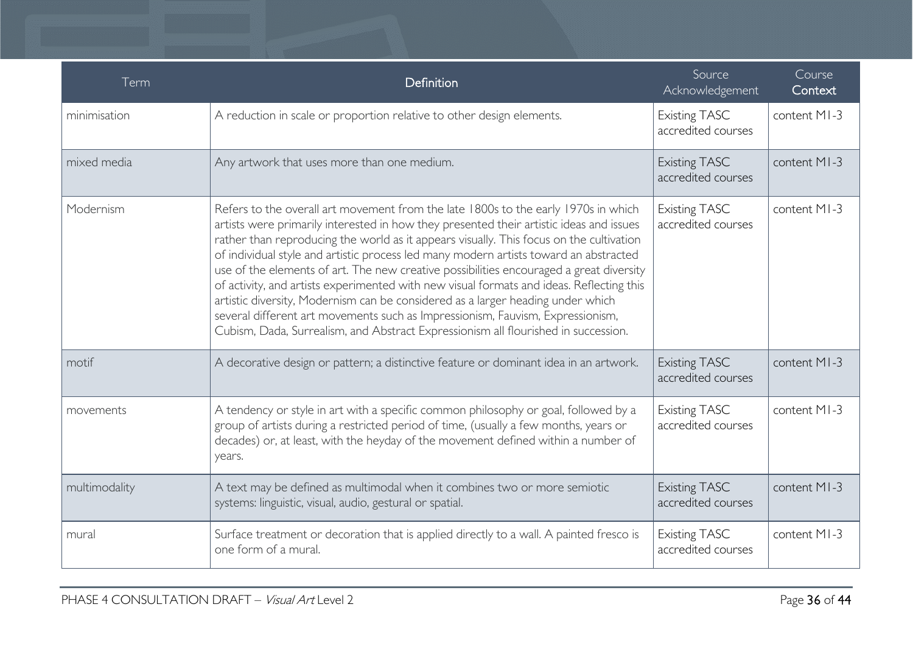| Term          | Definition                                                                                                                                                                                                                                                                                                                                                                                                                                                                                                                                                                                                                                                                                                                                                                                                          | Source<br>Acknowledgement                  | Course<br>Context |
|---------------|---------------------------------------------------------------------------------------------------------------------------------------------------------------------------------------------------------------------------------------------------------------------------------------------------------------------------------------------------------------------------------------------------------------------------------------------------------------------------------------------------------------------------------------------------------------------------------------------------------------------------------------------------------------------------------------------------------------------------------------------------------------------------------------------------------------------|--------------------------------------------|-------------------|
| minimisation  | A reduction in scale or proportion relative to other design elements.                                                                                                                                                                                                                                                                                                                                                                                                                                                                                                                                                                                                                                                                                                                                               | <b>Existing TASC</b><br>accredited courses | content MI-3      |
| mixed media   | Any artwork that uses more than one medium.                                                                                                                                                                                                                                                                                                                                                                                                                                                                                                                                                                                                                                                                                                                                                                         | <b>Existing TASC</b><br>accredited courses | content MI-3      |
| Modernism     | Refers to the overall art movement from the late 1800s to the early 1970s in which<br>artists were primarily interested in how they presented their artistic ideas and issues<br>rather than reproducing the world as it appears visually. This focus on the cultivation<br>of individual style and artistic process led many modern artists toward an abstracted<br>use of the elements of art. The new creative possibilities encouraged a great diversity<br>of activity, and artists experimented with new visual formats and ideas. Reflecting this<br>artistic diversity, Modernism can be considered as a larger heading under which<br>several different art movements such as Impressionism, Fauvism, Expressionism,<br>Cubism, Dada, Surrealism, and Abstract Expressionism all flourished in succession. | <b>Existing TASC</b><br>accredited courses | content MI-3      |
| motif         | A decorative design or pattern; a distinctive feature or dominant idea in an artwork.                                                                                                                                                                                                                                                                                                                                                                                                                                                                                                                                                                                                                                                                                                                               | <b>Existing TASC</b><br>accredited courses | content MI-3      |
| movements     | A tendency or style in art with a specific common philosophy or goal, followed by a<br>group of artists during a restricted period of time, (usually a few months, years or<br>decades) or, at least, with the heyday of the movement defined within a number of<br>years.                                                                                                                                                                                                                                                                                                                                                                                                                                                                                                                                          | <b>Existing TASC</b><br>accredited courses | content MI-3      |
| multimodality | A text may be defined as multimodal when it combines two or more semiotic<br>systems: linguistic, visual, audio, gestural or spatial.                                                                                                                                                                                                                                                                                                                                                                                                                                                                                                                                                                                                                                                                               | <b>Existing TASC</b><br>accredited courses | content MI-3      |
| mural         | Surface treatment or decoration that is applied directly to a wall. A painted fresco is<br>one form of a mural.                                                                                                                                                                                                                                                                                                                                                                                                                                                                                                                                                                                                                                                                                                     | <b>Existing TASC</b><br>accredited courses | content MI-3      |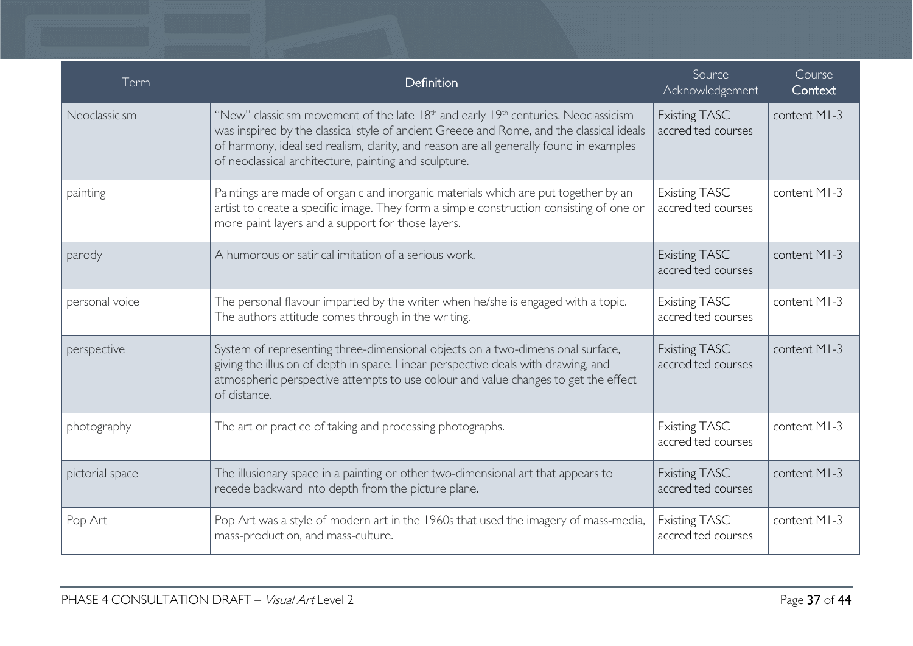| Term            | Definition                                                                                                                                                                                                                                                                                                                                                | Source<br>Acknowledgement                  | Course<br>Context |
|-----------------|-----------------------------------------------------------------------------------------------------------------------------------------------------------------------------------------------------------------------------------------------------------------------------------------------------------------------------------------------------------|--------------------------------------------|-------------------|
| Neoclassicism   | "New" classicism movement of the late 18 <sup>th</sup> and early 19 <sup>th</sup> centuries. Neoclassicism<br>was inspired by the classical style of ancient Greece and Rome, and the classical ideals<br>of harmony, idealised realism, clarity, and reason are all generally found in examples<br>of neoclassical architecture, painting and sculpture. | <b>Existing TASC</b><br>accredited courses | content MI-3      |
| painting        | Paintings are made of organic and inorganic materials which are put together by an<br>artist to create a specific image. They form a simple construction consisting of one or<br>more paint layers and a support for those layers.                                                                                                                        | <b>Existing TASC</b><br>accredited courses | content MI-3      |
| parody          | A humorous or satirical imitation of a serious work.                                                                                                                                                                                                                                                                                                      | <b>Existing TASC</b><br>accredited courses | content MI-3      |
| personal voice  | The personal flavour imparted by the writer when he/she is engaged with a topic.<br>The authors attitude comes through in the writing.                                                                                                                                                                                                                    | <b>Existing TASC</b><br>accredited courses | content MI-3      |
| perspective     | System of representing three-dimensional objects on a two-dimensional surface,<br>giving the illusion of depth in space. Linear perspective deals with drawing, and<br>atmospheric perspective attempts to use colour and value changes to get the effect<br>of distance.                                                                                 | <b>Existing TASC</b><br>accredited courses | content MI-3      |
| photography     | The art or practice of taking and processing photographs.                                                                                                                                                                                                                                                                                                 | <b>Existing TASC</b><br>accredited courses | content MI-3      |
| pictorial space | The illusionary space in a painting or other two-dimensional art that appears to<br>recede backward into depth from the picture plane.                                                                                                                                                                                                                    | <b>Existing TASC</b><br>accredited courses | content MI-3      |
| Pop Art         | Pop Art was a style of modern art in the 1960s that used the imagery of mass-media,<br>mass-production, and mass-culture.                                                                                                                                                                                                                                 | <b>Existing TASC</b><br>accredited courses | content MI-3      |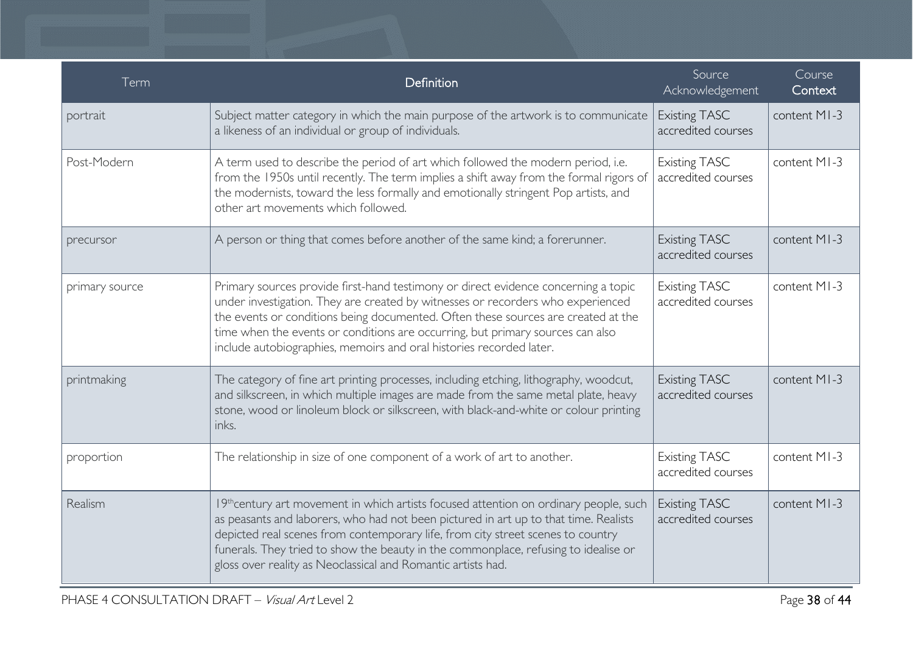| Term           | Definition                                                                                                                                                                                                                                                                                                                                                                                                              | Source<br>Acknowledgement                  | Course<br>Context |
|----------------|-------------------------------------------------------------------------------------------------------------------------------------------------------------------------------------------------------------------------------------------------------------------------------------------------------------------------------------------------------------------------------------------------------------------------|--------------------------------------------|-------------------|
| portrait       | Subject matter category in which the main purpose of the artwork is to communicate<br>a likeness of an individual or group of individuals.                                                                                                                                                                                                                                                                              | <b>Existing TASC</b><br>accredited courses | content MI-3      |
| Post-Modern    | A term used to describe the period of art which followed the modern period, i.e.<br>from the 1950s until recently. The term implies a shift away from the formal rigors of<br>the modernists, toward the less formally and emotionally stringent Pop artists, and<br>other art movements which followed.                                                                                                                | <b>Existing TASC</b><br>accredited courses | content MI-3      |
| precursor      | A person or thing that comes before another of the same kind; a forerunner.                                                                                                                                                                                                                                                                                                                                             | <b>Existing TASC</b><br>accredited courses | content MI-3      |
| primary source | Primary sources provide first-hand testimony or direct evidence concerning a topic<br>under investigation. They are created by witnesses or recorders who experienced<br>the events or conditions being documented. Often these sources are created at the<br>time when the events or conditions are occurring, but primary sources can also<br>include autobiographies, memoirs and oral histories recorded later.     | <b>Existing TASC</b><br>accredited courses | content MI-3      |
| printmaking    | The category of fine art printing processes, including etching, lithography, woodcut,<br>and silkscreen, in which multiple images are made from the same metal plate, heavy<br>stone, wood or linoleum block or silkscreen, with black-and-white or colour printing<br>inks.                                                                                                                                            | <b>Existing TASC</b><br>accredited courses | content MI-3      |
| proportion     | The relationship in size of one component of a work of art to another.                                                                                                                                                                                                                                                                                                                                                  | <b>Existing TASC</b><br>accredited courses | content MI-3      |
| Realism        | 19th century art movement in which artists focused attention on ordinary people, such<br>as peasants and laborers, who had not been pictured in art up to that time. Realists<br>depicted real scenes from contemporary life, from city street scenes to country<br>funerals. They tried to show the beauty in the commonplace, refusing to idealise or<br>gloss over reality as Neoclassical and Romantic artists had. | <b>Existing TASC</b><br>accredited courses | content MI-3      |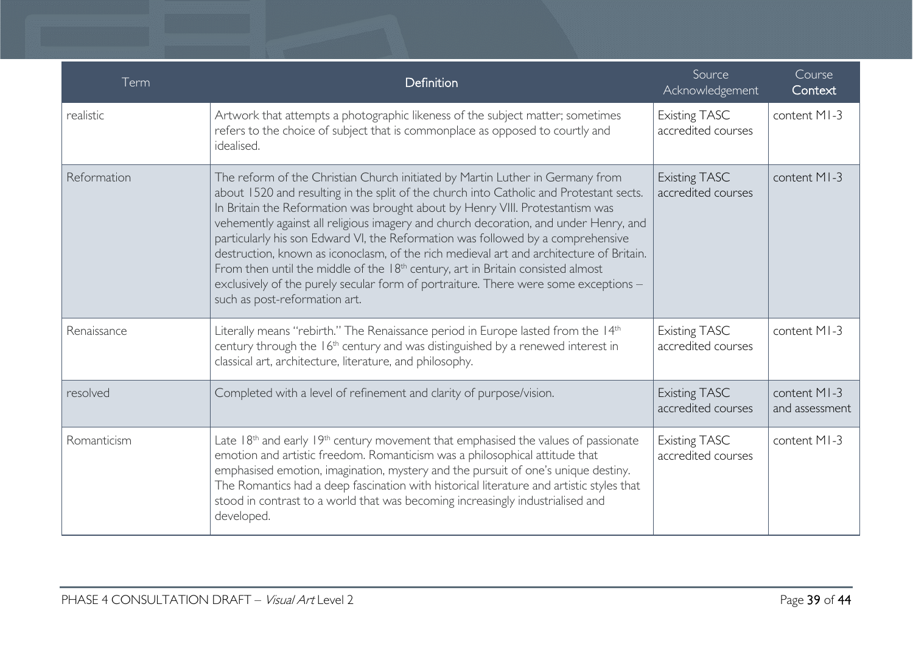| Term        | Definition                                                                                                                                                                                                                                                                                                                                                                                                                                                                                                                                                                                                                                                                                                                                   | Source<br>Acknowledgement                  | Course<br>Context              |
|-------------|----------------------------------------------------------------------------------------------------------------------------------------------------------------------------------------------------------------------------------------------------------------------------------------------------------------------------------------------------------------------------------------------------------------------------------------------------------------------------------------------------------------------------------------------------------------------------------------------------------------------------------------------------------------------------------------------------------------------------------------------|--------------------------------------------|--------------------------------|
| realistic   | Artwork that attempts a photographic likeness of the subject matter; sometimes<br>refers to the choice of subject that is commonplace as opposed to courtly and<br>idealised.                                                                                                                                                                                                                                                                                                                                                                                                                                                                                                                                                                | <b>Existing TASC</b><br>accredited courses | content MI-3                   |
| Reformation | The reform of the Christian Church initiated by Martin Luther in Germany from<br>about 1520 and resulting in the split of the church into Catholic and Protestant sects.<br>In Britain the Reformation was brought about by Henry VIII. Protestantism was<br>vehemently against all religious imagery and church decoration, and under Henry, and<br>particularly his son Edward VI, the Reformation was followed by a comprehensive<br>destruction, known as iconoclasm, of the rich medieval art and architecture of Britain.<br>From then until the middle of the $18th$ century, art in Britain consisted almost<br>exclusively of the purely secular form of portraiture. There were some exceptions -<br>such as post-reformation art. | <b>Existing TASC</b><br>accredited courses | content MI-3                   |
| Renaissance | Literally means "rebirth." The Renaissance period in Europe lasted from the 14th<br>century through the 16 <sup>th</sup> century and was distinguished by a renewed interest in<br>classical art, architecture, literature, and philosophy.                                                                                                                                                                                                                                                                                                                                                                                                                                                                                                  | <b>Existing TASC</b><br>accredited courses | content MI-3                   |
| resolved    | Completed with a level of refinement and clarity of purpose/vision.                                                                                                                                                                                                                                                                                                                                                                                                                                                                                                                                                                                                                                                                          | <b>Existing TASC</b><br>accredited courses | content MI-3<br>and assessment |
| Romanticism | Late $18th$ and early $19th$ century movement that emphasised the values of passionate<br>emotion and artistic freedom. Romanticism was a philosophical attitude that<br>emphasised emotion, imagination, mystery and the pursuit of one's unique destiny.<br>The Romantics had a deep fascination with historical literature and artistic styles that<br>stood in contrast to a world that was becoming increasingly industrialised and<br>developed.                                                                                                                                                                                                                                                                                       | <b>Existing TASC</b><br>accredited courses | content MI-3                   |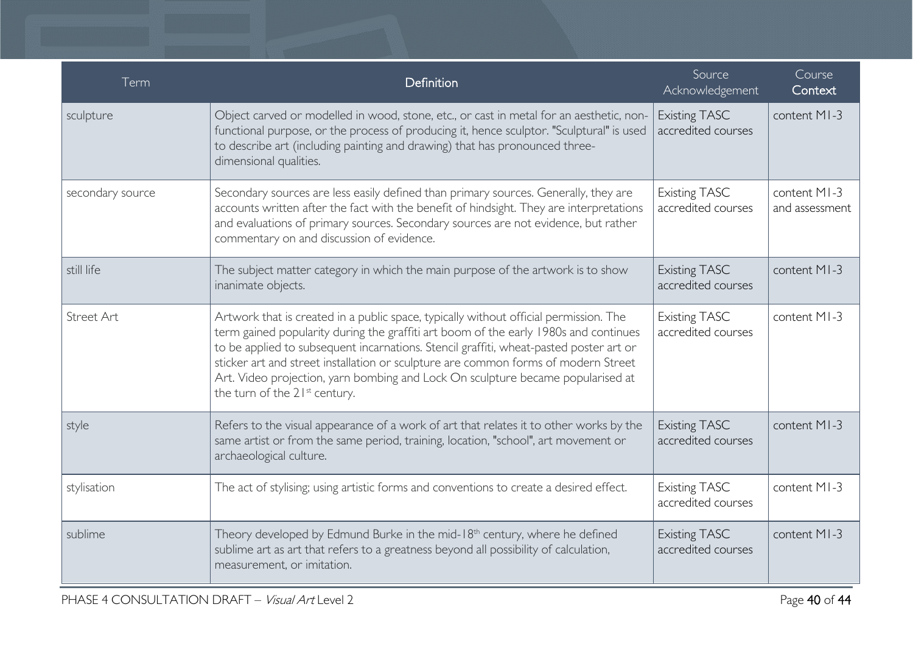| Term             | Definition                                                                                                                                                                                                                                                                                                                                                                                                                                                                                    | Source<br>Acknowledgement                  | Course<br>Context              |
|------------------|-----------------------------------------------------------------------------------------------------------------------------------------------------------------------------------------------------------------------------------------------------------------------------------------------------------------------------------------------------------------------------------------------------------------------------------------------------------------------------------------------|--------------------------------------------|--------------------------------|
| sculpture        | Object carved or modelled in wood, stone, etc., or cast in metal for an aesthetic, non-<br>functional purpose, or the process of producing it, hence sculptor. "Sculptural" is used<br>to describe art (including painting and drawing) that has pronounced three-<br>dimensional qualities.                                                                                                                                                                                                  | <b>Existing TASC</b><br>accredited courses | content MI-3                   |
| secondary source | Secondary sources are less easily defined than primary sources. Generally, they are<br>accounts written after the fact with the benefit of hindsight. They are interpretations<br>and evaluations of primary sources. Secondary sources are not evidence, but rather<br>commentary on and discussion of evidence.                                                                                                                                                                             | <b>Existing TASC</b><br>accredited courses | content MI-3<br>and assessment |
| still life       | The subject matter category in which the main purpose of the artwork is to show<br>inanimate objects.                                                                                                                                                                                                                                                                                                                                                                                         | <b>Existing TASC</b><br>accredited courses | content MI-3                   |
| Street Art       | Artwork that is created in a public space, typically without official permission. The<br>term gained popularity during the graffiti art boom of the early 1980s and continues<br>to be applied to subsequent incarnations. Stencil graffiti, wheat-pasted poster art or<br>sticker art and street installation or sculpture are common forms of modern Street<br>Art. Video projection, yarn bombing and Lock On sculpture became popularised at<br>the turn of the 21 <sup>st</sup> century. | <b>Existing TASC</b><br>accredited courses | content MI-3                   |
| style            | Refers to the visual appearance of a work of art that relates it to other works by the<br>same artist or from the same period, training, location, "school", art movement or<br>archaeological culture.                                                                                                                                                                                                                                                                                       | <b>Existing TASC</b><br>accredited courses | content MI-3                   |
| stylisation      | The act of stylising; using artistic forms and conventions to create a desired effect.                                                                                                                                                                                                                                                                                                                                                                                                        | Existing TASC<br>accredited courses        | content MI-3                   |
| sublime          | Theory developed by Edmund Burke in the mid-18 <sup>th</sup> century, where he defined<br>sublime art as art that refers to a greatness beyond all possibility of calculation,<br>measurement, or imitation.                                                                                                                                                                                                                                                                                  | <b>Existing TASC</b><br>accredited courses | content MI-3                   |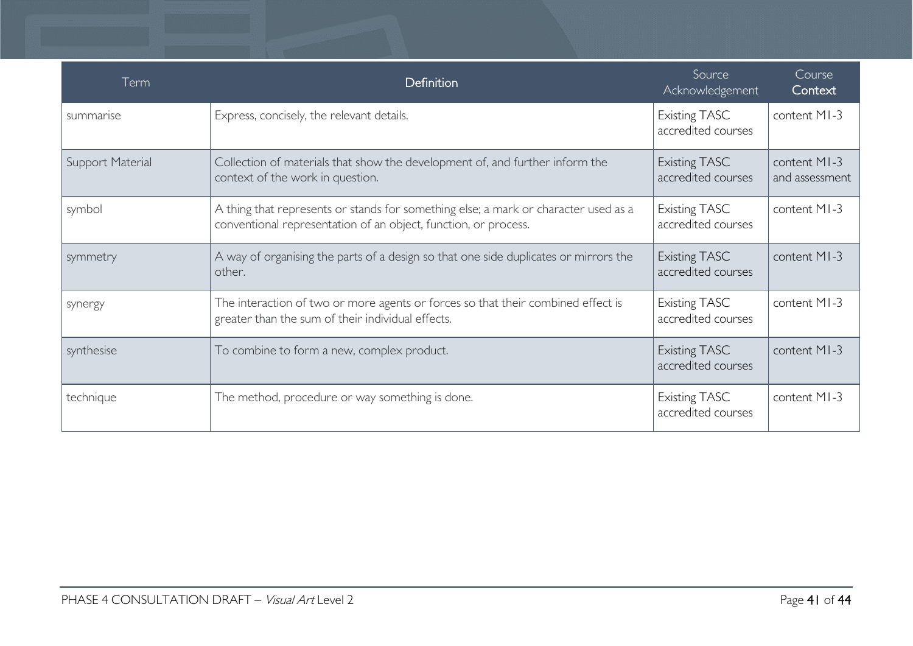| Term             | <b>Definition</b>                                                                                                                                      | Source<br>Acknowledgement                  | Course<br>Context              |
|------------------|--------------------------------------------------------------------------------------------------------------------------------------------------------|--------------------------------------------|--------------------------------|
| summarise        | Express, concisely, the relevant details.                                                                                                              | <b>Existing TASC</b><br>accredited courses | content MI-3                   |
| Support Material | Collection of materials that show the development of, and further inform the<br>context of the work in question.                                       | <b>Existing TASC</b><br>accredited courses | content MI-3<br>and assessment |
| symbol           | A thing that represents or stands for something else; a mark or character used as a<br>conventional representation of an object, function, or process. | <b>Existing TASC</b><br>accredited courses | content MI-3                   |
| symmetry         | A way of organising the parts of a design so that one side duplicates or mirrors the<br>other.                                                         | <b>Existing TASC</b><br>accredited courses | content MI-3                   |
| synergy          | The interaction of two or more agents or forces so that their combined effect is<br>greater than the sum of their individual effects.                  | <b>Existing TASC</b><br>accredited courses | content MI-3                   |
| synthesise       | To combine to form a new, complex product.                                                                                                             | <b>Existing TASC</b><br>accredited courses | content MI-3                   |
| technique        | The method, procedure or way something is done.                                                                                                        | <b>Existing TASC</b><br>accredited courses | content MI-3                   |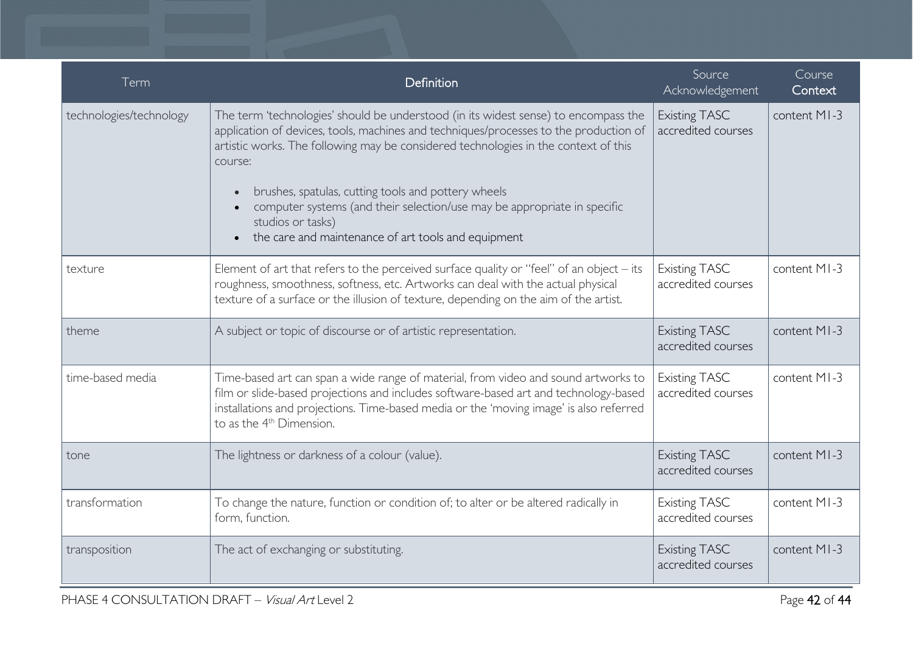| Term                    | Definition                                                                                                                                                                                                                                                                                                                                                                                                                                                                                                              | Source<br>Acknowledgement                  | Course<br>Context |
|-------------------------|-------------------------------------------------------------------------------------------------------------------------------------------------------------------------------------------------------------------------------------------------------------------------------------------------------------------------------------------------------------------------------------------------------------------------------------------------------------------------------------------------------------------------|--------------------------------------------|-------------------|
| technologies/technology | The term 'technologies' should be understood (in its widest sense) to encompass the<br>application of devices, tools, machines and techniques/processes to the production of<br>artistic works. The following may be considered technologies in the context of this<br>course:<br>brushes, spatulas, cutting tools and pottery wheels<br>$\bullet$<br>computer systems (and their selection/use may be appropriate in specific<br>studios or tasks)<br>the care and maintenance of art tools and equipment<br>$\bullet$ | <b>Existing TASC</b><br>accredited courses | content MI-3      |
| texture                 | Element of art that refers to the perceived surface quality or "feel" of an object $-$ its<br>roughness, smoothness, softness, etc. Artworks can deal with the actual physical<br>texture of a surface or the illusion of texture, depending on the aim of the artist.                                                                                                                                                                                                                                                  | <b>Existing TASC</b><br>accredited courses | content MI-3      |
| theme                   | A subject or topic of discourse or of artistic representation.                                                                                                                                                                                                                                                                                                                                                                                                                                                          | <b>Existing TASC</b><br>accredited courses | content MI-3      |
| time-based media        | Time-based art can span a wide range of material, from video and sound artworks to<br>film or slide-based projections and includes software-based art and technology-based<br>installations and projections. Time-based media or the 'moving image' is also referred<br>to as the 4 <sup>th</sup> Dimension.                                                                                                                                                                                                            | <b>Existing TASC</b><br>accredited courses | content MI-3      |
| tone                    | The lightness or darkness of a colour (value).                                                                                                                                                                                                                                                                                                                                                                                                                                                                          | <b>Existing TASC</b><br>accredited courses | content MI-3      |
| transformation          | To change the nature, function or condition of; to alter or be altered radically in<br>form, function.                                                                                                                                                                                                                                                                                                                                                                                                                  | <b>Existing TASC</b><br>accredited courses | content MI-3      |
| transposition           | The act of exchanging or substituting.                                                                                                                                                                                                                                                                                                                                                                                                                                                                                  | <b>Existing TASC</b><br>accredited courses | content MI-3      |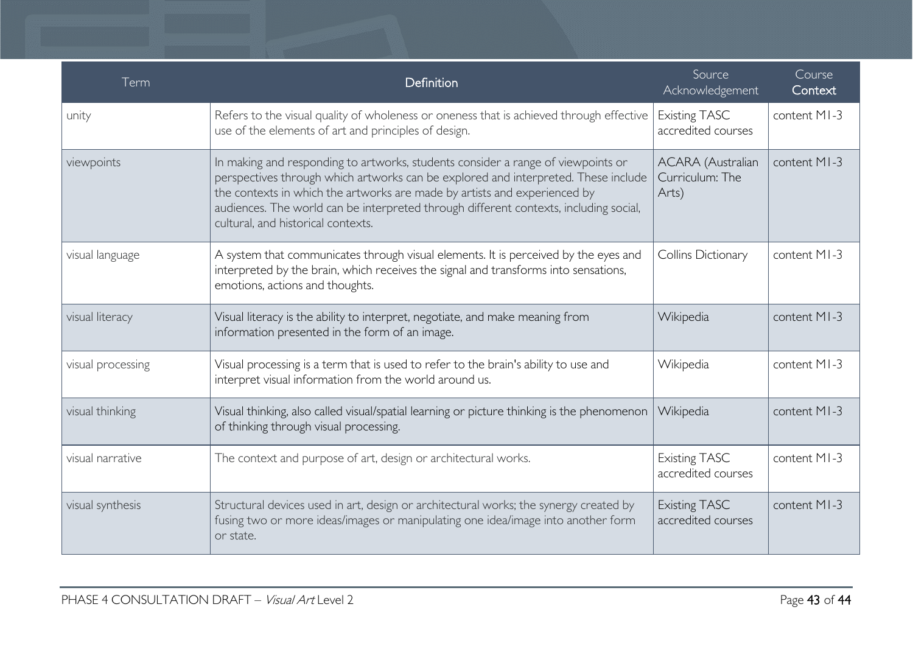| Term              | Definition                                                                                                                                                                                                                                                                                                                                                                         | Source<br>Acknowledgement                            | Course<br>Context |
|-------------------|------------------------------------------------------------------------------------------------------------------------------------------------------------------------------------------------------------------------------------------------------------------------------------------------------------------------------------------------------------------------------------|------------------------------------------------------|-------------------|
| unity             | Refers to the visual quality of wholeness or oneness that is achieved through effective<br>use of the elements of art and principles of design.                                                                                                                                                                                                                                    | <b>Existing TASC</b><br>accredited courses           | content MI-3      |
| viewpoints        | In making and responding to artworks, students consider a range of viewpoints or<br>perspectives through which artworks can be explored and interpreted. These include<br>the contexts in which the artworks are made by artists and experienced by<br>audiences. The world can be interpreted through different contexts, including social,<br>cultural, and historical contexts. | <b>ACARA</b> (Australian<br>Curriculum: The<br>Arts) | content MI-3      |
| visual language   | A system that communicates through visual elements. It is perceived by the eyes and<br>interpreted by the brain, which receives the signal and transforms into sensations,<br>emotions, actions and thoughts.                                                                                                                                                                      | Collins Dictionary                                   | content MI-3      |
| visual literacy   | Visual literacy is the ability to interpret, negotiate, and make meaning from<br>information presented in the form of an image.                                                                                                                                                                                                                                                    | Wikipedia                                            | content MI-3      |
| visual processing | Visual processing is a term that is used to refer to the brain's ability to use and<br>interpret visual information from the world around us.                                                                                                                                                                                                                                      | Wikipedia                                            | content MI-3      |
| visual thinking   | Visual thinking, also called visual/spatial learning or picture thinking is the phenomenon<br>of thinking through visual processing.                                                                                                                                                                                                                                               | Wikipedia                                            | content MI-3      |
| visual narrative  | The context and purpose of art, design or architectural works.                                                                                                                                                                                                                                                                                                                     | <b>Existing TASC</b><br>accredited courses           | content MI-3      |
| visual synthesis  | Structural devices used in art, design or architectural works; the synergy created by<br>fusing two or more ideas/images or manipulating one idea/image into another form<br>or state.                                                                                                                                                                                             | <b>Existing TASC</b><br>accredited courses           | content MI-3      |